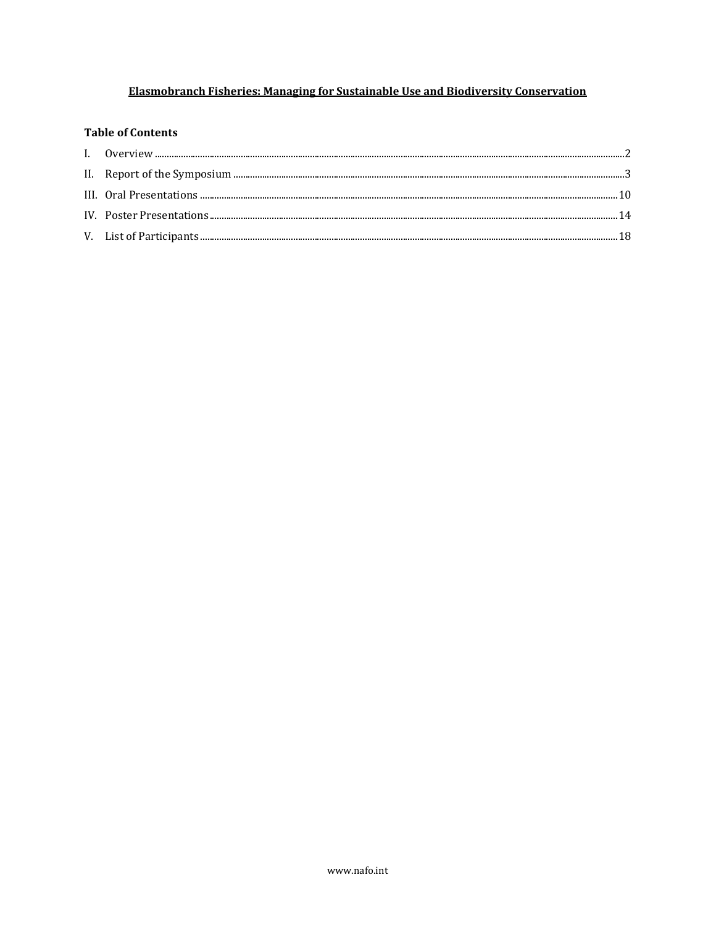## Elasmobranch Fisheries: Managing for Sustainable Use and Biodiversity Conservation

### **Table of Contents**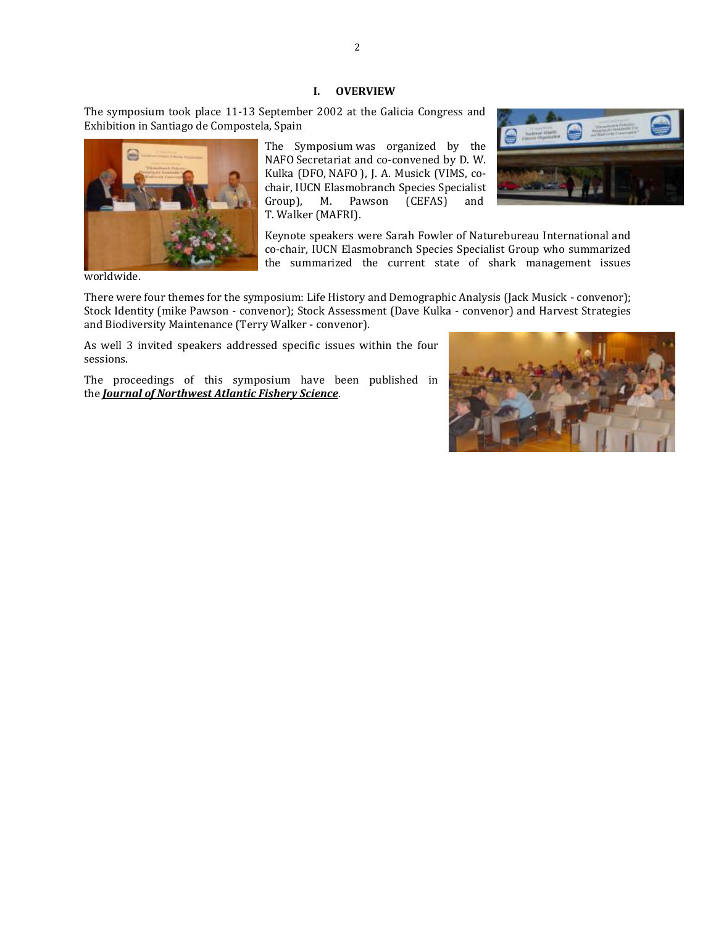#### **I. OVERVIEW**

<span id="page-1-0"></span>The symposium took place 11-13 September 2002 at the Galicia Congress and Exhibition in Santiago de Compostela, Spain



NAFO Secretariat and co-convened by D. W. Kulka (DFO, NAFO ), J. A. Musick (VIMS, cochair, IUCN Elasmobranch Species Specialist Group), M. Pawson (CEFAS) and T. Walker (MAFRI).



Keynote speakers were Sarah Fowler of Naturebureau International and co-chair, IUCN Elasmobranch Species Specialist Group who summarized the summarized the current state of shark management issues

worldwide.

There were four themes for the symposium: Life History and Demographic Analysis (Jack Musick - convenor); Stock Identity (mike Pawson - convenor); Stock Assessment (Dave Kulka - convenor) and Harvest Strategies and Biodiversity Maintenance (Terry Walker - convenor).

As well 3 invited speakers addressed specific issues within the four sessions.

The proceedings of this symposium have been published in the *[Journal of Northwest Atlantic Fishery Science](http://journal.nafo.int/dnn/Volumes/Articles/articleType/CategoryView/categoryId/47/Volume-35--2005)*.

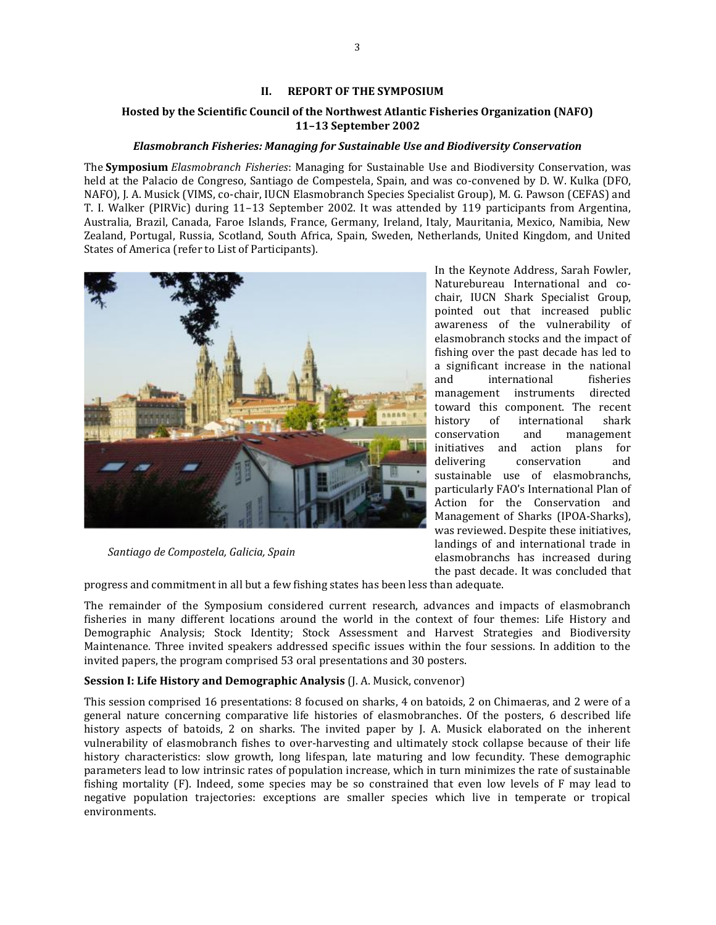#### **II. REPORT OF THE SYMPOSIUM**

### <span id="page-2-0"></span>**Hosted by the Scientific Council of the Northwest Atlantic Fisheries Organization (NAFO) 11–13 September 2002**

### *Elasmobranch Fisheries: Managing for Sustainable Use and Biodiversity Conservation*

The **Symposium** *Elasmobranch Fisheries*: Managing for Sustainable Use and Biodiversity Conservation, was held at the Palacio de Congreso, Santiago de Compestela, Spain, and was co-convened by D. W. Kulka (DFO, NAFO), J. A. Musick (VIMS, co-chair, IUCN Elasmobranch Species Specialist Group), M. G. Pawson (CEFAS) and T. I. Walker (PIRVic) during 11–13 September 2002. It was attended by 119 participants from Argentina, Australia, Brazil, Canada, Faroe Islands, France, Germany, Ireland, Italy, Mauritania, Mexico, Namibia, New Zealand, Portugal, Russia, Scotland, South Africa, Spain, Sweden, Netherlands, United Kingdom, and United States of America (refer to List of Participants).



*Santiago de Compostela, Galicia, Spain*

progress and commitment in all but a few fishing states has been less than adequate.

The remainder of the Symposium considered current research, advances and impacts of elasmobranch fisheries in many different locations around the world in the context of four themes: Life History and Demographic Analysis; Stock Identity; Stock Assessment and Harvest Strategies and Biodiversity Maintenance. Three invited speakers addressed specific issues within the four sessions. In addition to the invited papers, the program comprised 53 oral presentations and 30 posters.

elasmobranchs has increased during the past decade. It was concluded that

#### **Session I: Life History and Demographic Analysis** (J. A. Musick, convenor)

This session comprised 16 presentations: 8 focused on sharks, 4 on batoids, 2 on Chimaeras, and 2 were of a general nature concerning comparative life histories of elasmobranches. Of the posters, 6 described life history aspects of batoids, 2 on sharks. The invited paper by J. A. Musick elaborated on the inherent vulnerability of elasmobranch fishes to over-harvesting and ultimately stock collapse because of their life history characteristics: slow growth, long lifespan, late maturing and low fecundity. These demographic parameters lead to low intrinsic rates of population increase, which in turn minimizes the rate of sustainable fishing mortality (F). Indeed, some species may be so constrained that even low levels of F may lead to negative population trajectories: exceptions are smaller species which live in temperate or tropical environments.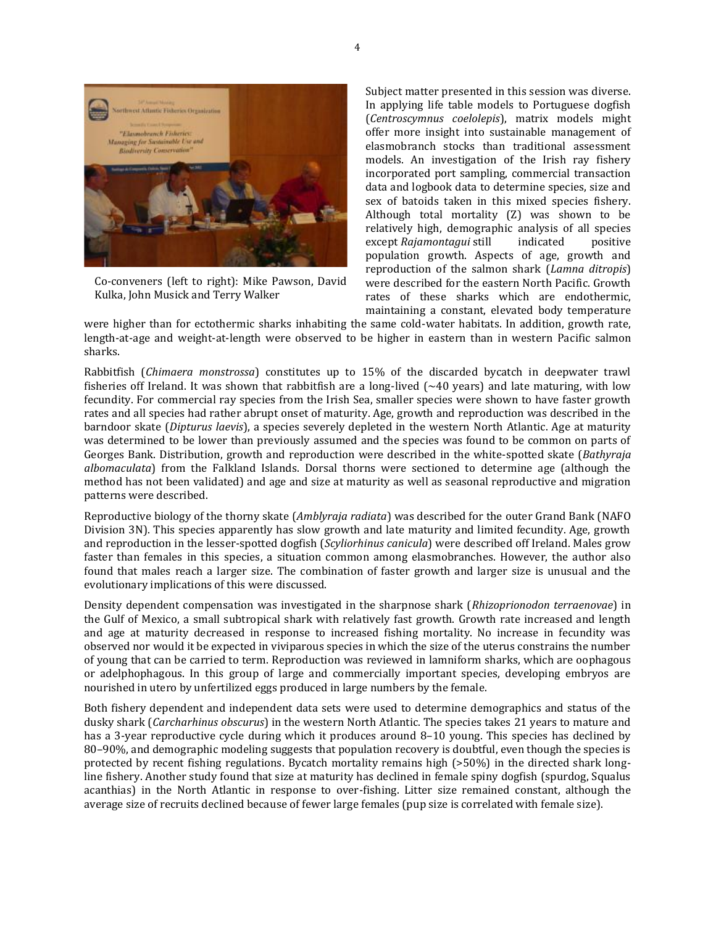

Co-conveners (left to right): Mike Pawson, David Kulka, John Musick and Terry Walker

Subject matter presented in this session was diverse. In applying life table models to Portuguese dogfish (*Centroscymnus coelolepis*), matrix models might offer more insight into sustainable management of elasmobranch stocks than traditional assessment models. An investigation of the Irish ray fishery incorporated port sampling, commercial transaction data and logbook data to determine species, size and sex of batoids taken in this mixed species fishery. Although total mortality (Z) was shown to be relatively high, demographic analysis of all species except *Rajamontagui* still indicated positive population growth. Aspects of age, growth and reproduction of the salmon shark (*Lamna ditropis*) were described for the eastern North Pacific. Growth rates of these sharks which are endothermic, maintaining a constant, elevated body temperature

were higher than for ectothermic sharks inhabiting the same cold-water habitats. In addition, growth rate, length-at-age and weight-at-length were observed to be higher in eastern than in western Pacific salmon sharks.

Rabbitfish (*Chimaera monstrossa*) constitutes up to 15% of the discarded bycatch in deepwater trawl fisheries off Ireland. It was shown that rabbitfish are a long-lived  $(\sim 40 \text{ years})$  and late maturing, with low fecundity. For commercial ray species from the Irish Sea, smaller species were shown to have faster growth rates and all species had rather abrupt onset of maturity. Age, growth and reproduction was described in the barndoor skate (*Dipturus laevis*), a species severely depleted in the western North Atlantic. Age at maturity was determined to be lower than previously assumed and the species was found to be common on parts of Georges Bank. Distribution, growth and reproduction were described in the white-spotted skate (*Bathyraja albomaculata*) from the Falkland Islands. Dorsal thorns were sectioned to determine age (although the method has not been validated) and age and size at maturity as well as seasonal reproductive and migration patterns were described.

Reproductive biology of the thorny skate (*Amblyraja radiata*) was described for the outer Grand Bank (NAFO Division 3N). This species apparently has slow growth and late maturity and limited fecundity. Age, growth and reproduction in the lesser-spotted dogfish (*Scyliorhinus canicula*) were described off Ireland. Males grow faster than females in this species, a situation common among elasmobranches. However, the author also found that males reach a larger size. The combination of faster growth and larger size is unusual and the evolutionary implications of this were discussed.

Density dependent compensation was investigated in the sharpnose shark (*Rhizoprionodon terraenovae*) in the Gulf of Mexico, a small subtropical shark with relatively fast growth. Growth rate increased and length and age at maturity decreased in response to increased fishing mortality. No increase in fecundity was observed nor would it be expected in viviparous species in which the size of the uterus constrains the number of young that can be carried to term. Reproduction was reviewed in lamniform sharks, which are oophagous or adelphophagous. In this group of large and commercially important species, developing embryos are nourished in utero by unfertilized eggs produced in large numbers by the female.

Both fishery dependent and independent data sets were used to determine demographics and status of the dusky shark (*Carcharhinus obscurus*) in the western North Atlantic. The species takes 21 years to mature and has a 3-year reproductive cycle during which it produces around 8–10 young. This species has declined by 80–90%, and demographic modeling suggests that population recovery is doubtful, even though the species is protected by recent fishing regulations. Bycatch mortality remains high (>50%) in the directed shark longline fishery. Another study found that size at maturity has declined in female spiny dogfish (spurdog, Squalus acanthias) in the North Atlantic in response to over-fishing. Litter size remained constant, although the average size of recruits declined because of fewer large females (pup size is correlated with female size).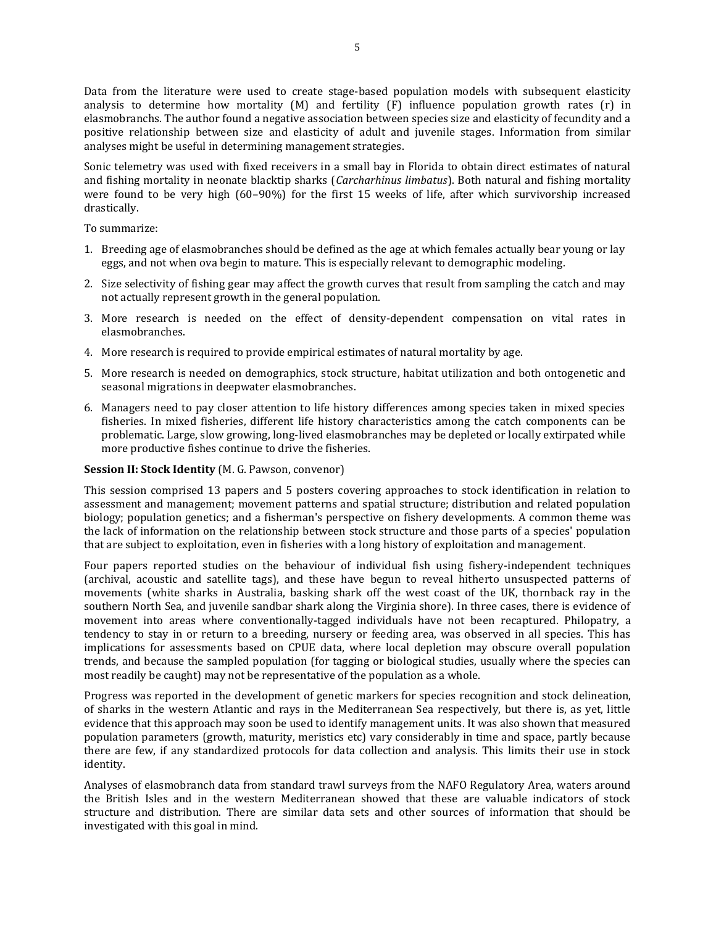Data from the literature were used to create stage-based population models with subsequent elasticity analysis to determine how mortality (M) and fertility (F) influence population growth rates (r) in elasmobranchs. The author found a negative association between species size and elasticity of fecundity and a positive relationship between size and elasticity of adult and juvenile stages. Information from similar analyses might be useful in determining management strategies.

Sonic telemetry was used with fixed receivers in a small bay in Florida to obtain direct estimates of natural and fishing mortality in neonate blacktip sharks (*Carcharhinus limbatus*). Both natural and fishing mortality were found to be very high  $(60-90%)$  for the first 15 weeks of life, after which survivorship increased drastically.

To summarize:

- 1. Breeding age of elasmobranches should be defined as the age at which females actually bear young or lay eggs, and not when ova begin to mature. This is especially relevant to demographic modeling.
- 2. Size selectivity of fishing gear may affect the growth curves that result from sampling the catch and may not actually represent growth in the general population.
- 3. More research is needed on the effect of density-dependent compensation on vital rates in elasmobranches.
- 4. More research is required to provide empirical estimates of natural mortality by age.
- 5. More research is needed on demographics, stock structure, habitat utilization and both ontogenetic and seasonal migrations in deepwater elasmobranches.
- 6. Managers need to pay closer attention to life history differences among species taken in mixed species fisheries. In mixed fisheries, different life history characteristics among the catch components can be problematic. Large, slow growing, long-lived elasmobranches may be depleted or locally extirpated while more productive fishes continue to drive the fisheries.

#### **Session II: Stock Identity** (M. G. Pawson, convenor)

This session comprised 13 papers and 5 posters covering approaches to stock identification in relation to assessment and management; movement patterns and spatial structure; distribution and related population biology; population genetics; and a fisherman's perspective on fishery developments. A common theme was the lack of information on the relationship between stock structure and those parts of a species' population that are subject to exploitation, even in fisheries with a long history of exploitation and management.

Four papers reported studies on the behaviour of individual fish using fishery-independent techniques (archival, acoustic and satellite tags), and these have begun to reveal hitherto unsuspected patterns of movements (white sharks in Australia, basking shark off the west coast of the UK, thornback ray in the southern North Sea, and juvenile sandbar shark along the Virginia shore). In three cases, there is evidence of movement into areas where conventionally-tagged individuals have not been recaptured. Philopatry, a tendency to stay in or return to a breeding, nursery or feeding area, was observed in all species. This has implications for assessments based on CPUE data, where local depletion may obscure overall population trends, and because the sampled population (for tagging or biological studies, usually where the species can most readily be caught) may not be representative of the population as a whole.

Progress was reported in the development of genetic markers for species recognition and stock delineation, of sharks in the western Atlantic and rays in the Mediterranean Sea respectively, but there is, as yet, little evidence that this approach may soon be used to identify management units. It was also shown that measured population parameters (growth, maturity, meristics etc) vary considerably in time and space, partly because there are few, if any standardized protocols for data collection and analysis. This limits their use in stock identity.

Analyses of elasmobranch data from standard trawl surveys from the NAFO Regulatory Area, waters around the British Isles and in the western Mediterranean showed that these are valuable indicators of stock structure and distribution. There are similar data sets and other sources of information that should be investigated with this goal in mind.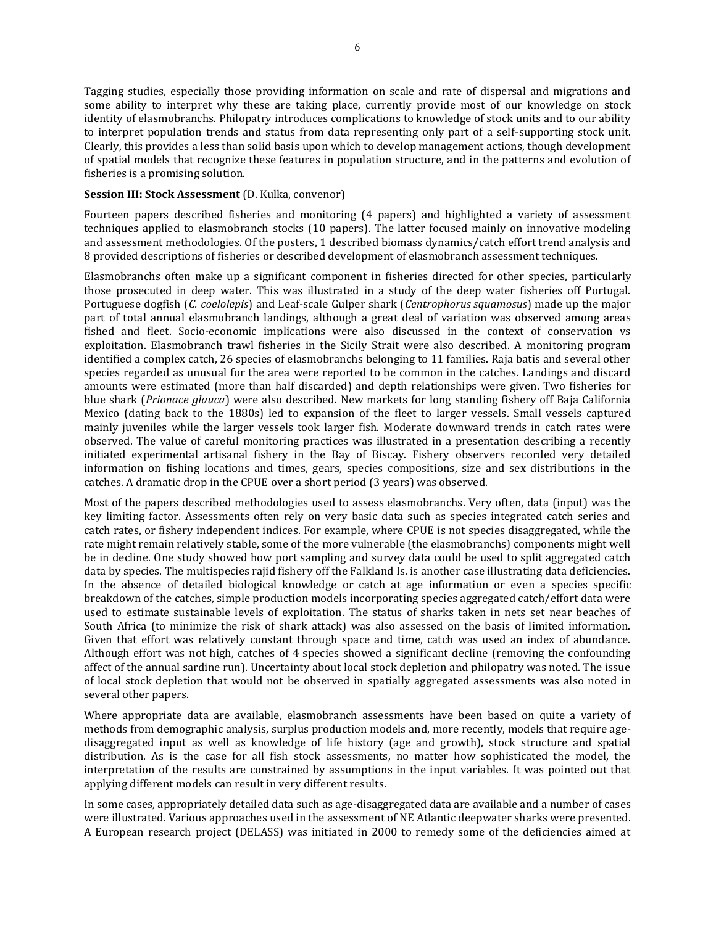Tagging studies, especially those providing information on scale and rate of dispersal and migrations and some ability to interpret why these are taking place, currently provide most of our knowledge on stock identity of elasmobranchs. Philopatry introduces complications to knowledge of stock units and to our ability to interpret population trends and status from data representing only part of a self-supporting stock unit. Clearly, this provides a less than solid basis upon which to develop management actions, though development of spatial models that recognize these features in population structure, and in the patterns and evolution of fisheries is a promising solution.

#### **Session III: Stock Assessment** (D. Kulka, convenor)

Fourteen papers described fisheries and monitoring (4 papers) and highlighted a variety of assessment techniques applied to elasmobranch stocks (10 papers). The latter focused mainly on innovative modeling and assessment methodologies. Of the posters, 1 described biomass dynamics/catch effort trend analysis and 8 provided descriptions of fisheries or described development of elasmobranch assessment techniques.

Elasmobranchs often make up a significant component in fisheries directed for other species, particularly those prosecuted in deep water. This was illustrated in a study of the deep water fisheries off Portugal. Portuguese dogfish (*C. coelolepis*) and Leaf-scale Gulper shark (*Centrophorus squamosus*) made up the major part of total annual elasmobranch landings, although a great deal of variation was observed among areas fished and fleet. Socio-economic implications were also discussed in the context of conservation vs exploitation. Elasmobranch trawl fisheries in the Sicily Strait were also described. A monitoring program identified a complex catch, 26 species of elasmobranchs belonging to 11 families. Raja batis and several other species regarded as unusual for the area were reported to be common in the catches. Landings and discard amounts were estimated (more than half discarded) and depth relationships were given. Two fisheries for blue shark (*Prionace glauca*) were also described. New markets for long standing fishery off Baja California Mexico (dating back to the 1880s) led to expansion of the fleet to larger vessels. Small vessels captured mainly juveniles while the larger vessels took larger fish. Moderate downward trends in catch rates were observed. The value of careful monitoring practices was illustrated in a presentation describing a recently initiated experimental artisanal fishery in the Bay of Biscay. Fishery observers recorded very detailed information on fishing locations and times, gears, species compositions, size and sex distributions in the catches. A dramatic drop in the CPUE over a short period (3 years) was observed.

Most of the papers described methodologies used to assess elasmobranchs. Very often, data (input) was the key limiting factor. Assessments often rely on very basic data such as species integrated catch series and catch rates, or fishery independent indices. For example, where CPUE is not species disaggregated, while the rate might remain relatively stable, some of the more vulnerable (the elasmobranchs) components might well be in decline. One study showed how port sampling and survey data could be used to split aggregated catch data by species. The multispecies rajid fishery off the Falkland Is. is another case illustrating data deficiencies. In the absence of detailed biological knowledge or catch at age information or even a species specific breakdown of the catches, simple production models incorporating species aggregated catch/effort data were used to estimate sustainable levels of exploitation. The status of sharks taken in nets set near beaches of South Africa (to minimize the risk of shark attack) was also assessed on the basis of limited information. Given that effort was relatively constant through space and time, catch was used an index of abundance. Although effort was not high, catches of 4 species showed a significant decline (removing the confounding affect of the annual sardine run). Uncertainty about local stock depletion and philopatry was noted. The issue of local stock depletion that would not be observed in spatially aggregated assessments was also noted in several other papers.

Where appropriate data are available, elasmobranch assessments have been based on quite a variety of methods from demographic analysis, surplus production models and, more recently, models that require agedisaggregated input as well as knowledge of life history (age and growth), stock structure and spatial distribution. As is the case for all fish stock assessments, no matter how sophisticated the model, the interpretation of the results are constrained by assumptions in the input variables. It was pointed out that applying different models can result in very different results.

In some cases, appropriately detailed data such as age-disaggregated data are available and a number of cases were illustrated. Various approaches used in the assessment of NE Atlantic deepwater sharks were presented. A European research project (DELASS) was initiated in 2000 to remedy some of the deficiencies aimed at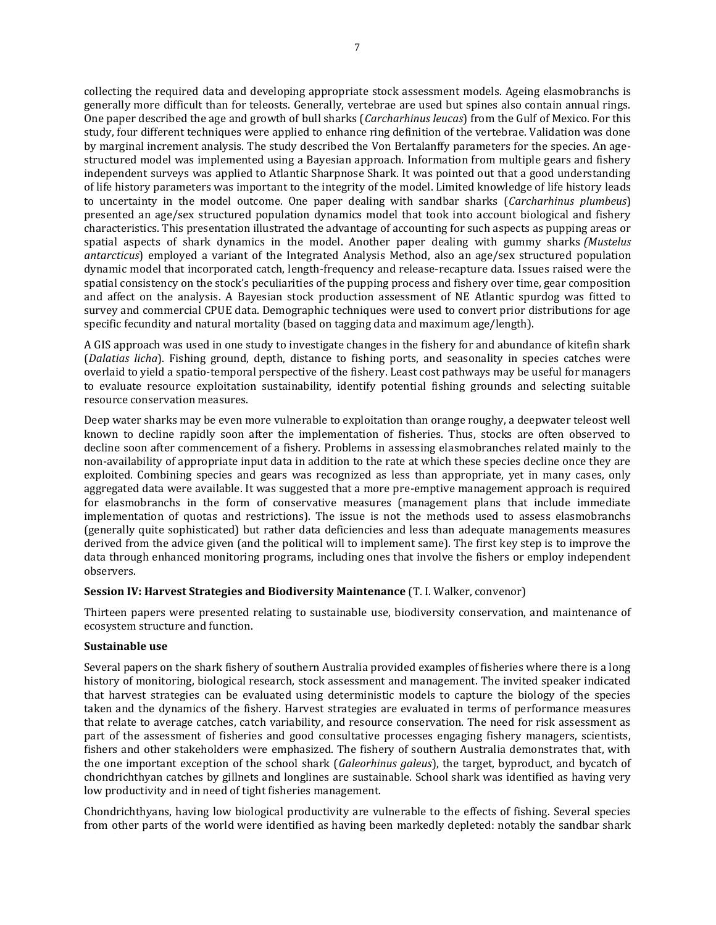collecting the required data and developing appropriate stock assessment models. Ageing elasmobranchs is generally more difficult than for teleosts. Generally, vertebrae are used but spines also contain annual rings. One paper described the age and growth of bull sharks (*Carcharhinus leucas*) from the Gulf of Mexico. For this study, four different techniques were applied to enhance ring definition of the vertebrae. Validation was done by marginal increment analysis. The study described the Von Bertalanffy parameters for the species. An agestructured model was implemented using a Bayesian approach. Information from multiple gears and fishery independent surveys was applied to Atlantic Sharpnose Shark. It was pointed out that a good understanding of life history parameters was important to the integrity of the model. Limited knowledge of life history leads to uncertainty in the model outcome. One paper dealing with sandbar sharks (*Carcharhinus plumbeus*) presented an age/sex structured population dynamics model that took into account biological and fishery characteristics. This presentation illustrated the advantage of accounting for such aspects as pupping areas or spatial aspects of shark dynamics in the model. Another paper dealing with gummy sharks *(Mustelus antarcticus*) employed a variant of the Integrated Analysis Method, also an age/sex structured population dynamic model that incorporated catch, length-frequency and release-recapture data. Issues raised were the spatial consistency on the stock's peculiarities of the pupping process and fishery over time, gear composition and affect on the analysis. A Bayesian stock production assessment of NE Atlantic spurdog was fitted to survey and commercial CPUE data. Demographic techniques were used to convert prior distributions for age specific fecundity and natural mortality (based on tagging data and maximum age/length).

A GIS approach was used in one study to investigate changes in the fishery for and abundance of kitefin shark (*Dalatias licha*). Fishing ground, depth, distance to fishing ports, and seasonality in species catches were overlaid to yield a spatio-temporal perspective of the fishery. Least cost pathways may be useful for managers to evaluate resource exploitation sustainability, identify potential fishing grounds and selecting suitable resource conservation measures.

Deep water sharks may be even more vulnerable to exploitation than orange roughy, a deepwater teleost well known to decline rapidly soon after the implementation of fisheries. Thus, stocks are often observed to decline soon after commencement of a fishery. Problems in assessing elasmobranches related mainly to the non-availability of appropriate input data in addition to the rate at which these species decline once they are exploited. Combining species and gears was recognized as less than appropriate, yet in many cases, only aggregated data were available. It was suggested that a more pre-emptive management approach is required for elasmobranchs in the form of conservative measures (management plans that include immediate implementation of quotas and restrictions). The issue is not the methods used to assess elasmobranchs (generally quite sophisticated) but rather data deficiencies and less than adequate managements measures derived from the advice given (and the political will to implement same). The first key step is to improve the data through enhanced monitoring programs, including ones that involve the fishers or employ independent observers.

#### **Session IV: Harvest Strategies and Biodiversity Maintenance** (T. I. Walker, convenor)

Thirteen papers were presented relating to sustainable use, biodiversity conservation, and maintenance of ecosystem structure and function.

#### **Sustainable use**

Several papers on the shark fishery of southern Australia provided examples of fisheries where there is a long history of monitoring, biological research, stock assessment and management. The invited speaker indicated that harvest strategies can be evaluated using deterministic models to capture the biology of the species taken and the dynamics of the fishery. Harvest strategies are evaluated in terms of performance measures that relate to average catches, catch variability, and resource conservation. The need for risk assessment as part of the assessment of fisheries and good consultative processes engaging fishery managers, scientists, fishers and other stakeholders were emphasized. The fishery of southern Australia demonstrates that, with the one important exception of the school shark (*Galeorhinus galeus*), the target, byproduct, and bycatch of chondrichthyan catches by gillnets and longlines are sustainable. School shark was identified as having very low productivity and in need of tight fisheries management.

Chondrichthyans, having low biological productivity are vulnerable to the effects of fishing. Several species from other parts of the world were identified as having been markedly depleted: notably the sandbar shark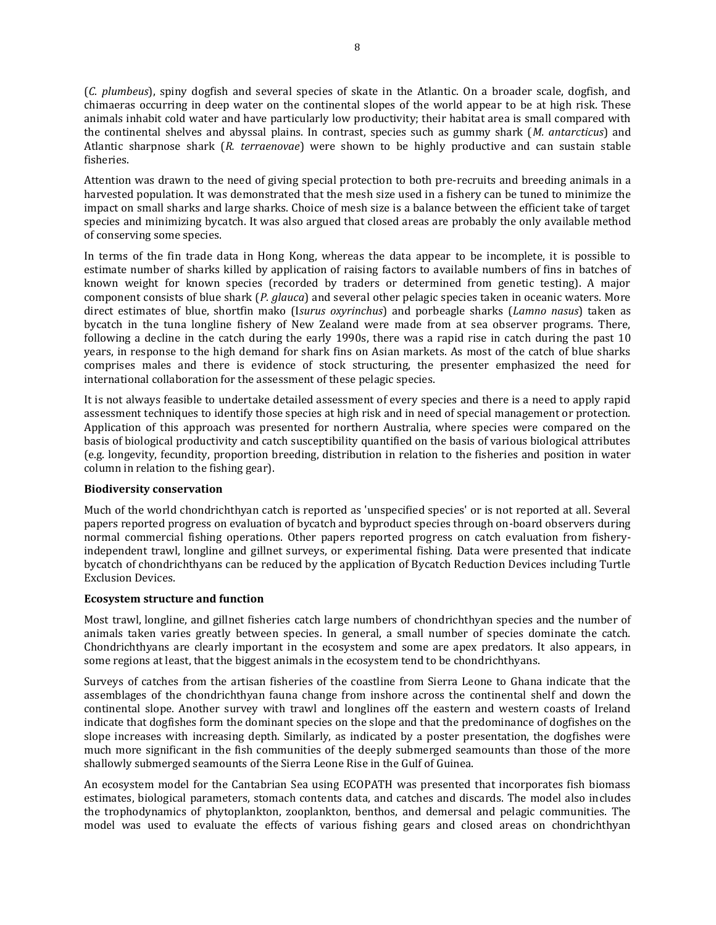(*C. plumbeus*), spiny dogfish and several species of skate in the Atlantic. On a broader scale, dogfish, and chimaeras occurring in deep water on the continental slopes of the world appear to be at high risk. These animals inhabit cold water and have particularly low productivity; their habitat area is small compared with the continental shelves and abyssal plains. In contrast, species such as gummy shark (*M. antarcticus*) and Atlantic sharpnose shark (*R. terraenovae*) were shown to be highly productive and can sustain stable fisheries.

Attention was drawn to the need of giving special protection to both pre-recruits and breeding animals in a harvested population. It was demonstrated that the mesh size used in a fishery can be tuned to minimize the impact on small sharks and large sharks. Choice of mesh size is a balance between the efficient take of target species and minimizing bycatch. It was also argued that closed areas are probably the only available method of conserving some species.

In terms of the fin trade data in Hong Kong, whereas the data appear to be incomplete, it is possible to estimate number of sharks killed by application of raising factors to available numbers of fins in batches of known weight for known species (recorded by traders or determined from genetic testing). A major component consists of blue shark (*P. glauca*) and several other pelagic species taken in oceanic waters. More direct estimates of blue, shortfin mako (I*surus oxyrinchus*) and porbeagle sharks (*Lamno nasus*) taken as bycatch in the tuna longline fishery of New Zealand were made from at sea observer programs. There, following a decline in the catch during the early 1990s, there was a rapid rise in catch during the past 10 years, in response to the high demand for shark fins on Asian markets. As most of the catch of blue sharks comprises males and there is evidence of stock structuring, the presenter emphasized the need for international collaboration for the assessment of these pelagic species.

It is not always feasible to undertake detailed assessment of every species and there is a need to apply rapid assessment techniques to identify those species at high risk and in need of special management or protection. Application of this approach was presented for northern Australia, where species were compared on the basis of biological productivity and catch susceptibility quantified on the basis of various biological attributes (e.g. longevity, fecundity, proportion breeding, distribution in relation to the fisheries and position in water column in relation to the fishing gear).

#### **Biodiversity conservation**

Much of the world chondrichthyan catch is reported as 'unspecified species' or is not reported at all. Several papers reported progress on evaluation of bycatch and byproduct species through on-board observers during normal commercial fishing operations. Other papers reported progress on catch evaluation from fisheryindependent trawl, longline and gillnet surveys, or experimental fishing. Data were presented that indicate bycatch of chondrichthyans can be reduced by the application of Bycatch Reduction Devices including Turtle Exclusion Devices.

#### **Ecosystem structure and function**

Most trawl, longline, and gillnet fisheries catch large numbers of chondrichthyan species and the number of animals taken varies greatly between species. In general, a small number of species dominate the catch. Chondrichthyans are clearly important in the ecosystem and some are apex predators. It also appears, in some regions at least, that the biggest animals in the ecosystem tend to be chondrichthyans.

Surveys of catches from the artisan fisheries of the coastline from Sierra Leone to Ghana indicate that the assemblages of the chondrichthyan fauna change from inshore across the continental shelf and down the continental slope. Another survey with trawl and longlines off the eastern and western coasts of Ireland indicate that dogfishes form the dominant species on the slope and that the predominance of dogfishes on the slope increases with increasing depth. Similarly, as indicated by a poster presentation, the dogfishes were much more significant in the fish communities of the deeply submerged seamounts than those of the more shallowly submerged seamounts of the Sierra Leone Rise in the Gulf of Guinea.

An ecosystem model for the Cantabrian Sea using ECOPATH was presented that incorporates fish biomass estimates, biological parameters, stomach contents data, and catches and discards. The model also includes the trophodynamics of phytoplankton, zooplankton, benthos, and demersal and pelagic communities. The model was used to evaluate the effects of various fishing gears and closed areas on chondrichthyan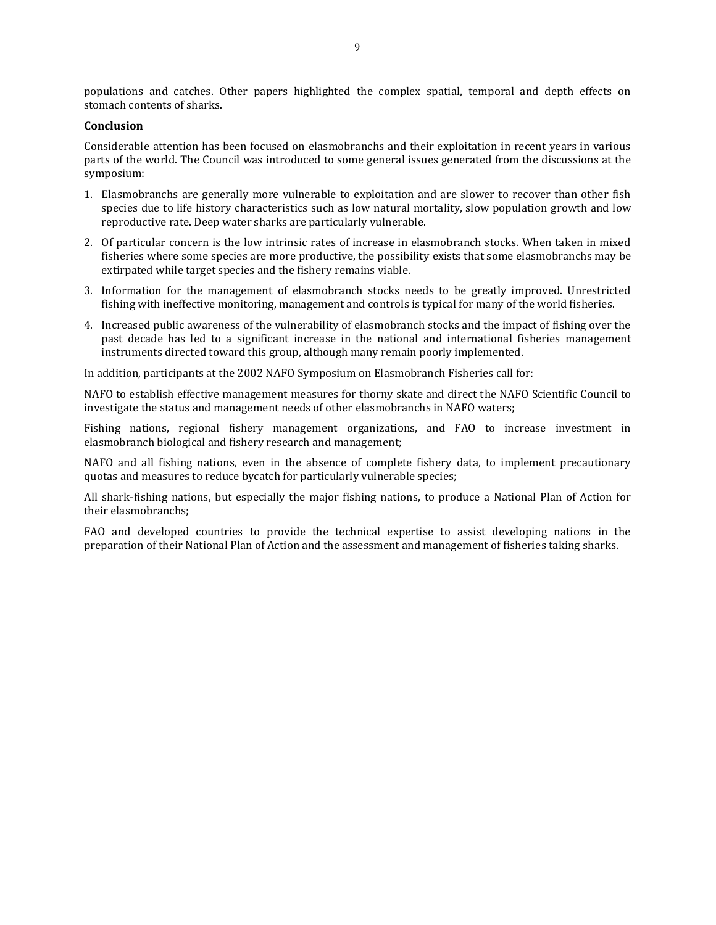populations and catches. Other papers highlighted the complex spatial, temporal and depth effects on stomach contents of sharks.

#### **Conclusion**

Considerable attention has been focused on elasmobranchs and their exploitation in recent years in various parts of the world. The Council was introduced to some general issues generated from the discussions at the symposium:

- 1. Elasmobranchs are generally more vulnerable to exploitation and are slower to recover than other fish species due to life history characteristics such as low natural mortality, slow population growth and low reproductive rate. Deep water sharks are particularly vulnerable.
- 2. Of particular concern is the low intrinsic rates of increase in elasmobranch stocks. When taken in mixed fisheries where some species are more productive, the possibility exists that some elasmobranchs may be extirpated while target species and the fishery remains viable.
- 3. Information for the management of elasmobranch stocks needs to be greatly improved. Unrestricted fishing with ineffective monitoring, management and controls is typical for many of the world fisheries.
- 4. Increased public awareness of the vulnerability of elasmobranch stocks and the impact of fishing over the past decade has led to a significant increase in the national and international fisheries management instruments directed toward this group, although many remain poorly implemented.

In addition, participants at the 2002 NAFO Symposium on Elasmobranch Fisheries call for:

NAFO to establish effective management measures for thorny skate and direct the NAFO Scientific Council to investigate the status and management needs of other elasmobranchs in NAFO waters;

Fishing nations, regional fishery management organizations, and FAO to increase investment in elasmobranch biological and fishery research and management;

NAFO and all fishing nations, even in the absence of complete fishery data, to implement precautionary quotas and measures to reduce bycatch for particularly vulnerable species;

All shark-fishing nations, but especially the major fishing nations, to produce a National Plan of Action for their elasmobranchs;

FAO and developed countries to provide the technical expertise to assist developing nations in the preparation of their National Plan of Action and the assessment and management of fisheries taking sharks.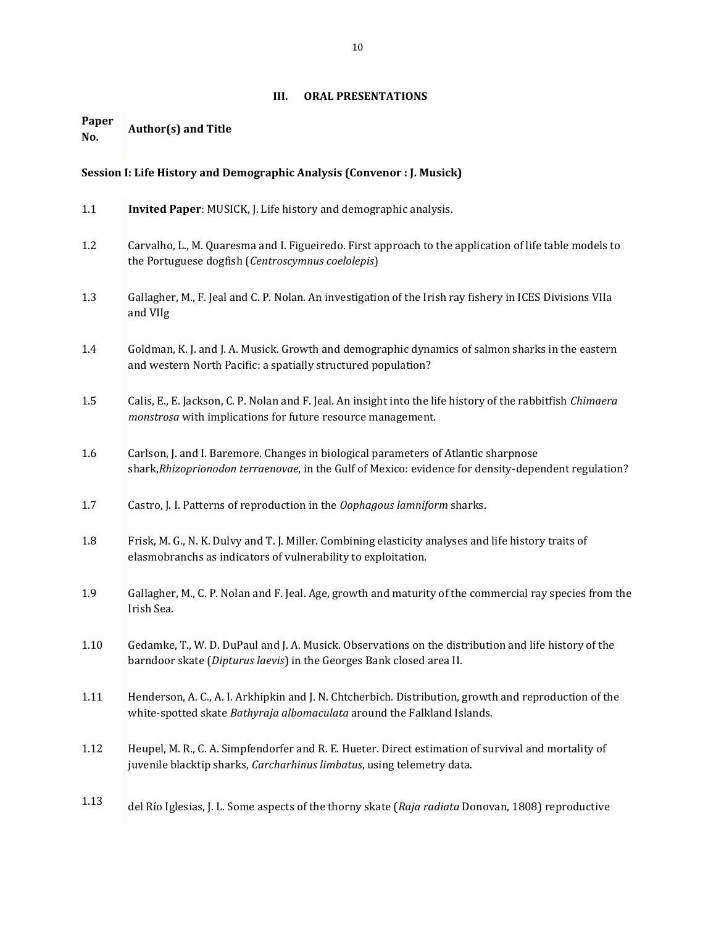### **III. ORAL PRESENTATIONS**

#### <span id="page-9-0"></span>**Paper No. Author(s) and Title**

## **Session I: Life History and Demographic Analysis (Convenor : J. Musick)**

| 1.1  | Invited Paper: MUSICK, J. Life history and demographic analysis.                                                                                                                            |
|------|---------------------------------------------------------------------------------------------------------------------------------------------------------------------------------------------|
| 1.2  | Carvalho, L., M. Quaresma and I. Figueiredo. First approach to the application of life table models to<br>the Portuguese dogfish (Centroscymnus coelolepis)                                 |
| 1.3  | Gallagher, M., F. Jeal and C. P. Nolan. An investigation of the Irish ray fishery in ICES Divisions VIIa<br>and VIIg                                                                        |
| 1.4  | Goldman, K. J. and J. A. Musick. Growth and demographic dynamics of salmon sharks in the eastern<br>and western North Pacific: a spatially structured population?                           |
| 1.5  | Calis, E., E. Jackson, C. P. Nolan and F. Jeal. An insight into the life history of the rabbitfish Chimaera<br>monstrosa with implications for future resource management.                  |
| 1.6  | Carlson, J. and I. Baremore. Changes in biological parameters of Atlantic sharpnose<br>shark, Rhizoprionodon terraenovae, in the Gulf of Mexico: evidence for density-dependent regulation? |
| 1.7  | Castro, J. I. Patterns of reproduction in the Oophagous lamniform sharks.                                                                                                                   |
| 1.8  | Frisk, M. G., N. K. Dulvy and T. J. Miller. Combining elasticity analyses and life history traits of<br>elasmobranchs as indicators of vulnerability to exploitation.                       |
| 1.9  | Gallagher, M., C. P. Nolan and F. Jeal. Age, growth and maturity of the commercial ray species from the<br>Irish Sea.                                                                       |
| 1.10 | Gedamke, T., W. D. DuPaul and J. A. Musick. Observations on the distribution and life history of the<br>barndoor skate (Dipturus laevis) in the Georges Bank closed area II.                |
| 1.11 | Henderson, A. C., A. I. Arkhipkin and J. N. Chtcherbich. Distribution, growth and reproduction of the<br>white-spotted skate Bathyraja albomaculata around the Falkland Islands.            |
| 1.12 | Heupel, M. R., C. A. Simpfendorfer and R. E. Hueter. Direct estimation of survival and mortality of<br>juvenile blacktip sharks, Carcharhinus limbatus, using telemetry data.               |
| 1.13 | del Río Iglesias, J. L. Some aspects of the thorny skate (Raja radiata Donovan, 1808) reproductive                                                                                          |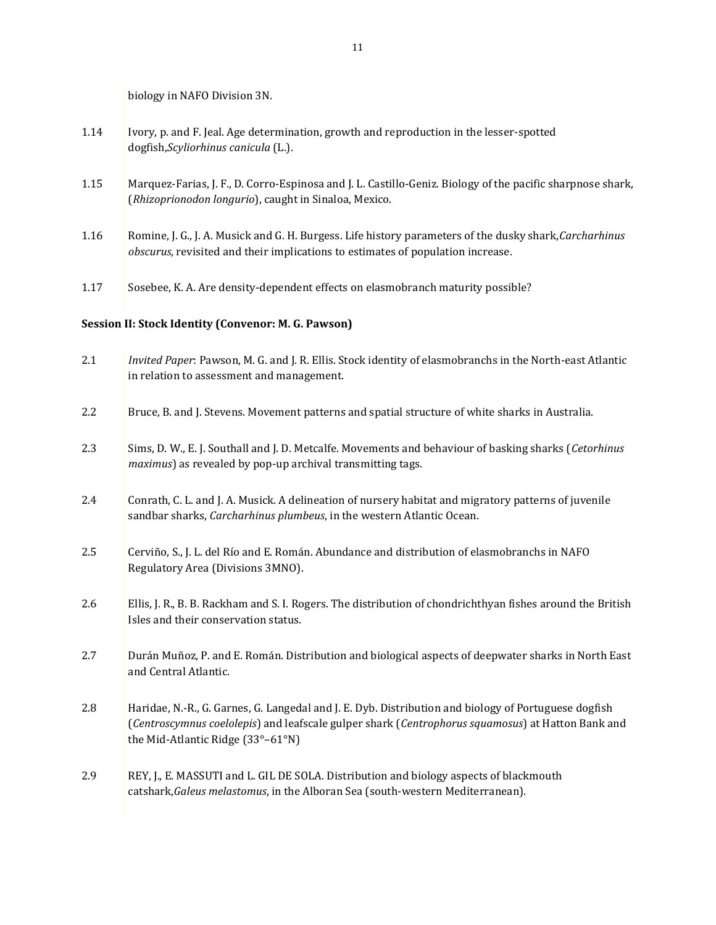biology in NAFO Division 3N.

- 1.14 Ivory, p. and F. Jeal. Age determination, growth and reproduction in the lesser-spotted dogfish,*Scyliorhinus canicula* (L.).
- 1.15 Marquez-Farias, J. F., D. Corro-Espinosa and J. L. Castillo-Geniz. Biology of the pacific sharpnose shark, (*Rhizoprionodon longurio*), caught in Sinaloa, Mexico.
- 1.16 Romine, J. G., J. A. Musick and G. H. Burgess. Life history parameters of the dusky shark,*Carcharhinus obscurus*, revisited and their implications to estimates of population increase.
- 1.17 Sosebee, K. A. Are density-dependent effects on elasmobranch maturity possible?

### **Session II: Stock Identity (Convenor: M. G. Pawson)**

| 2.1 | Invited Paper: Pawson, M. G. and J. R. Ellis. Stock identity of elasmobranchs in the North-east Atlantic<br>in relation to assessment and management.                                                                                          |
|-----|------------------------------------------------------------------------------------------------------------------------------------------------------------------------------------------------------------------------------------------------|
| 2.2 | Bruce, B. and J. Stevens. Movement patterns and spatial structure of white sharks in Australia.                                                                                                                                                |
| 2.3 | Sims, D. W., E. J. Southall and J. D. Metcalfe. Movements and behaviour of basking sharks (Cetorhinus<br>maximus) as revealed by pop-up archival transmitting tags.                                                                            |
| 2.4 | Conrath, C. L. and J. A. Musick. A delineation of nursery habitat and migratory patterns of juvenile<br>sandbar sharks, Carcharhinus plumbeus, in the western Atlantic Ocean.                                                                  |
| 2.5 | Cerviño, S., J. L. del Río and E. Román. Abundance and distribution of elasmobranchs in NAFO<br>Regulatory Area (Divisions 3MNO).                                                                                                              |
| 2.6 | Ellis, J. R., B. B. Rackham and S. I. Rogers. The distribution of chondrichthyan fishes around the British<br>Isles and their conservation status.                                                                                             |
| 2.7 | Durán Muñoz, P. and E. Román. Distribution and biological aspects of deepwater sharks in North East<br>and Central Atlantic.                                                                                                                   |
| 2.8 | Haridae, N.-R., G. Garnes, G. Langedal and J. E. Dyb. Distribution and biology of Portuguese dogfish<br>(Centroscymnus coelolepis) and leafscale gulper shark (Centrophorus squamosus) at Hatton Bank and<br>the Mid-Atlantic Ridge (33°-61°N) |
| 2.9 | REY, J., E. MASSUTI and L. GIL DE SOLA. Distribution and biology aspects of blackmouth<br>catshark, Galeus melastomus, in the Alboran Sea (south-western Mediterranean).                                                                       |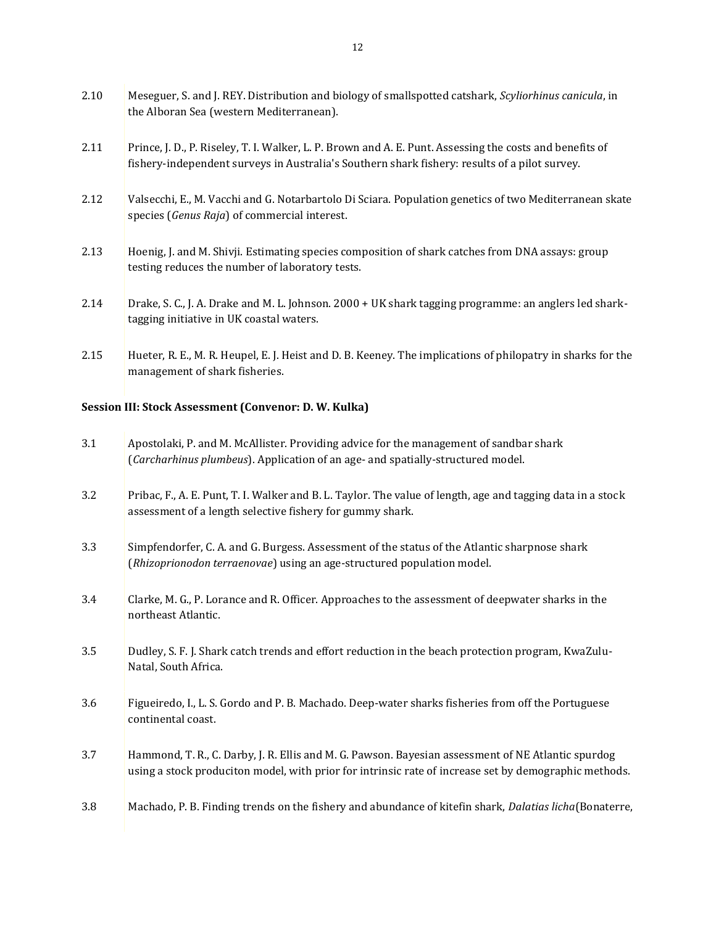| 2.10 | Meseguer, S. and J. REY. Distribution and biology of smallspotted catshark, Scyliorhinus canicula, in<br>the Alboran Sea (western Mediterranean).                                                         |
|------|-----------------------------------------------------------------------------------------------------------------------------------------------------------------------------------------------------------|
| 2.11 | Prince, J. D., P. Riseley, T. I. Walker, L. P. Brown and A. E. Punt. Assessing the costs and benefits of<br>fishery-independent surveys in Australia's Southern shark fishery: results of a pilot survey. |
| 2.12 | Valsecchi, E., M. Vacchi and G. Notarbartolo Di Sciara. Population genetics of two Mediterranean skate<br>species (Genus Raja) of commercial interest.                                                    |
| 2.13 | Hoenig, J. and M. Shivji. Estimating species composition of shark catches from DNA assays: group<br>testing reduces the number of laboratory tests.                                                       |
| 2.14 | Drake, S. C., J. A. Drake and M. L. Johnson. 2000 + UK shark tagging programme: an anglers led shark-<br>tagging initiative in UK coastal waters.                                                         |
| 2.15 | Hueter, R. E., M. R. Heupel, E. J. Heist and D. B. Keeney. The implications of philopatry in sharks for the<br>management of shark fisheries.                                                             |

# **Session III: Stock Assessment (Convenor: D. W. Kulka)**

| 3.1 | Apostolaki, P. and M. McAllister. Providing advice for the management of sandbar shark<br>(Carcharhinus plumbeus). Application of an age- and spatially-structured model.                                   |
|-----|-------------------------------------------------------------------------------------------------------------------------------------------------------------------------------------------------------------|
| 3.2 | Pribac, F., A. E. Punt, T. I. Walker and B. L. Taylor. The value of length, age and tagging data in a stock<br>assessment of a length selective fishery for gummy shark.                                    |
| 3.3 | Simpfendorfer, C. A. and G. Burgess. Assessment of the status of the Atlantic sharpnose shark<br>(Rhizoprionodon terraenovae) using an age-structured population model.                                     |
| 3.4 | Clarke, M. G., P. Lorance and R. Officer. Approaches to the assessment of deepwater sharks in the<br>northeast Atlantic.                                                                                    |
| 3.5 | Dudley, S. F. J. Shark catch trends and effort reduction in the beach protection program, KwaZulu-<br>Natal, South Africa.                                                                                  |
| 3.6 | Figueiredo, I., L. S. Gordo and P. B. Machado. Deep-water sharks fisheries from off the Portuguese<br>continental coast.                                                                                    |
| 3.7 | Hammond, T. R., C. Darby, J. R. Ellis and M. G. Pawson. Bayesian assessment of NE Atlantic spurdog<br>using a stock produciton model, with prior for intrinsic rate of increase set by demographic methods. |
| 3.8 | Machado, P. B. Finding trends on the fishery and abundance of kitefin shark, Dalatias licha (Bonaterre,                                                                                                     |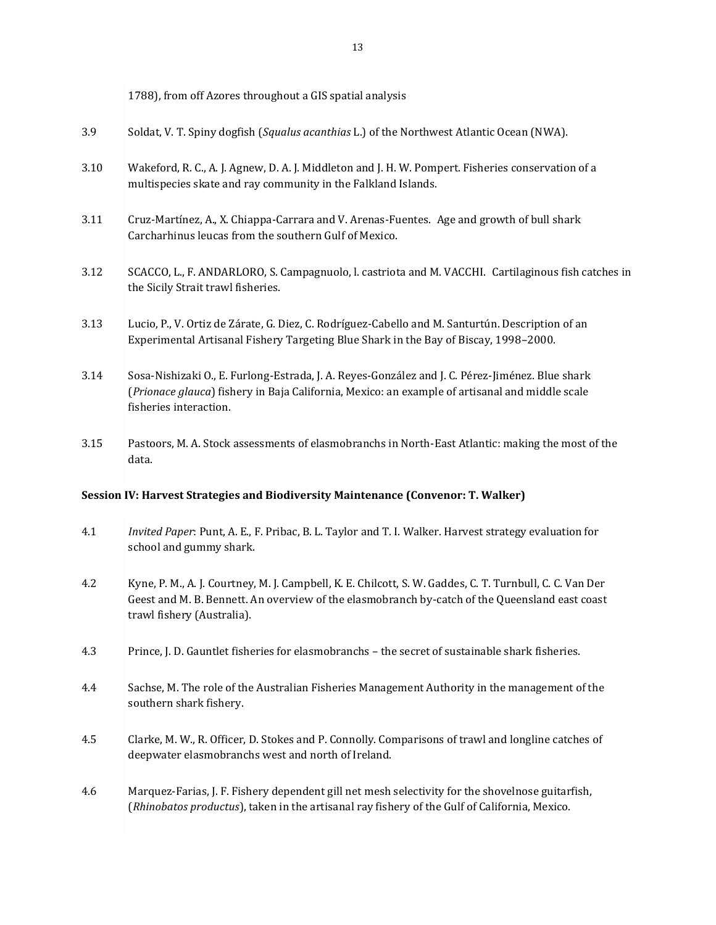|      | 1788), from off Azores throughout a GIS spatial analysis                                                                                                                                                                    |
|------|-----------------------------------------------------------------------------------------------------------------------------------------------------------------------------------------------------------------------------|
| 3.9  | Soldat, V. T. Spiny dogfish (Squalus acanthias L.) of the Northwest Atlantic Ocean (NWA).                                                                                                                                   |
| 3.10 | Wakeford, R. C., A. J. Agnew, D. A. J. Middleton and J. H. W. Pompert. Fisheries conservation of a<br>multispecies skate and ray community in the Falkland Islands.                                                         |
| 3.11 | Cruz-Martínez, A., X. Chiappa-Carrara and V. Arenas-Fuentes. Age and growth of bull shark<br>Carcharhinus leucas from the southern Gulf of Mexico.                                                                          |
| 3.12 | SCACCO, L., F. ANDARLORO, S. Campagnuolo, l. castriota and M. VACCHI. Cartilaginous fish catches in<br>the Sicily Strait trawl fisheries.                                                                                   |
| 3.13 | Lucio, P., V. Ortiz de Zárate, G. Diez, C. Rodríguez-Cabello and M. Santurtún. Description of an<br>Experimental Artisanal Fishery Targeting Blue Shark in the Bay of Biscay, 1998-2000.                                    |
| 3.14 | Sosa-Nishizaki O., E. Furlong-Estrada, J. A. Reyes-González and J. C. Pérez-Jiménez. Blue shark<br>(Prionace glauca) fishery in Baja California, Mexico: an example of artisanal and middle scale<br>fisheries interaction. |
| 3.15 | Pastoors, M. A. Stock assessments of elasmobranchs in North-East Atlantic: making the most of the<br>data.                                                                                                                  |

### **Session IV: Harvest Strategies and Biodiversity Maintenance (Convenor: T. Walker)**

- 4.1 *Invited Paper*: Punt, A. E., F. Pribac, B. L. Taylor and T. I. Walker. Harvest strategy evaluation for school and gummy shark.
- 4.2 Kyne, P. M., A. J. Courtney, M. J. Campbell, K. E. Chilcott, S. W. Gaddes, C. T. Turnbull, C. C. Van Der Geest and M. B. Bennett. An overview of the elasmobranch by-catch of the Queensland east coast trawl fishery (Australia).
- 4.3 Prince, J. D. Gauntlet fisheries for elasmobranchs the secret of sustainable shark fisheries.
- 4.4 Sachse, M. The role of the Australian Fisheries Management Authority in the management of the southern shark fishery.
- 4.5 Clarke, M. W., R. Officer, D. Stokes and P. Connolly. Comparisons of trawl and longline catches of deepwater elasmobranchs west and north of Ireland.
- 4.6 Marquez-Farias, J. F. Fishery dependent gill net mesh selectivity for the shovelnose guitarfish, (*Rhinobatos productus*), taken in the artisanal ray fishery of the Gulf of California, Mexico.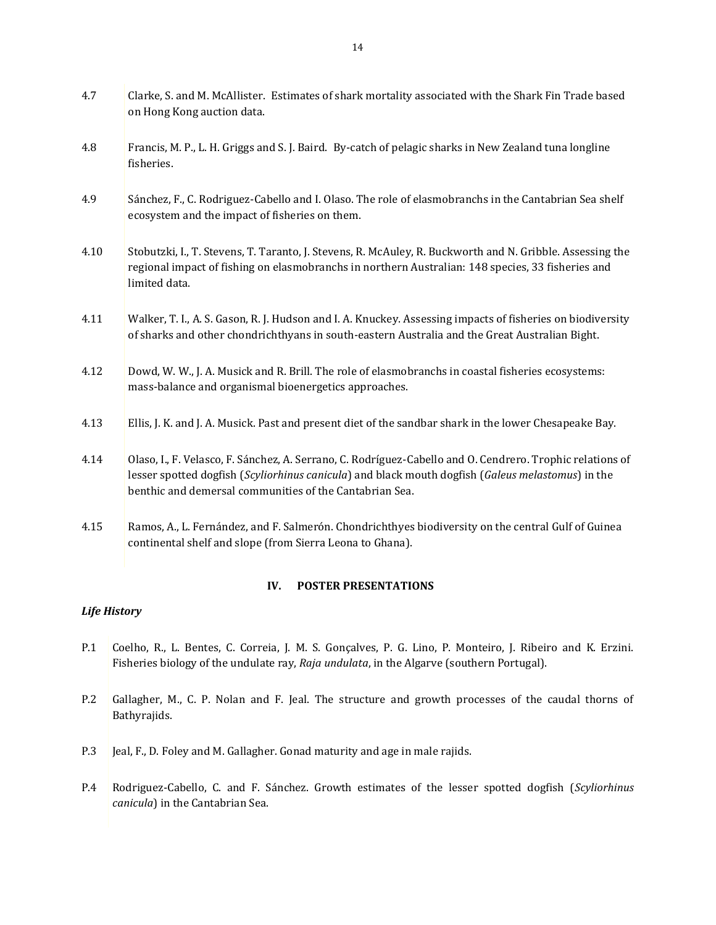| 4.7  | Clarke, S. and M. McAllister. Estimates of shark mortality associated with the Shark Fin Trade based<br>on Hong Kong auction data.                                                                                                                                        |
|------|---------------------------------------------------------------------------------------------------------------------------------------------------------------------------------------------------------------------------------------------------------------------------|
| 4.8  | Francis, M. P., L. H. Griggs and S. J. Baird. By-catch of pelagic sharks in New Zealand tuna longline<br>fisheries.                                                                                                                                                       |
| 4.9  | Sánchez, F., C. Rodriguez-Cabello and I. Olaso. The role of elasmobranchs in the Cantabrian Sea shelf<br>ecosystem and the impact of fisheries on them.                                                                                                                   |
| 4.10 | Stobutzki, I., T. Stevens, T. Taranto, J. Stevens, R. McAuley, R. Buckworth and N. Gribble. Assessing the<br>regional impact of fishing on elasmobranchs in northern Australian: 148 species, 33 fisheries and<br>limited data.                                           |
| 4.11 | Walker, T. I., A. S. Gason, R. J. Hudson and I. A. Knuckey. Assessing impacts of fisheries on biodiversity<br>of sharks and other chondrichthyans in south-eastern Australia and the Great Australian Bight.                                                              |
| 4.12 | Dowd, W. W., J. A. Musick and R. Brill. The role of elasmobranchs in coastal fisheries ecosystems:<br>mass-balance and organismal bioenergetics approaches.                                                                                                               |
| 4.13 | Ellis, J. K. and J. A. Musick. Past and present diet of the sandbar shark in the lower Chesapeake Bay.                                                                                                                                                                    |
| 4.14 | Olaso, I., F. Velasco, F. Sánchez, A. Serrano, C. Rodríguez-Cabello and O. Cendrero. Trophic relations of<br>lesser spotted dogfish (Scyliorhinus canicula) and black mouth dogfish (Galeus melastomus) in the<br>benthic and demersal communities of the Cantabrian Sea. |
| 4.15 | Ramos, A., L. Fernández, and F. Salmerón. Chondrichthyes biodiversity on the central Gulf of Guinea<br>continental shelf and slope (from Sierra Leona to Ghana).                                                                                                          |

### **IV. POSTER PRESENTATIONS**

### <span id="page-13-0"></span>*Life History*

- P.1 Coelho, R., L. Bentes, C. Correia, J. M. S. Gonçalves, P. G. Lino, P. Monteiro, J. Ribeiro and K. Erzini. Fisheries biology of the undulate ray, *Raja undulata*, in the Algarve (southern Portugal).
- P.2 Gallagher, M., C. P. Nolan and F. Jeal. The structure and growth processes of the caudal thorns of Bathyrajids.
- P.3 Jeal, F., D. Foley and M. Gallagher. Gonad maturity and age in male rajids.
- P.4 Rodriguez-Cabello, C. and F. Sánchez. Growth estimates of the lesser spotted dogfish (*Scyliorhinus canicula*) in the Cantabrian Sea.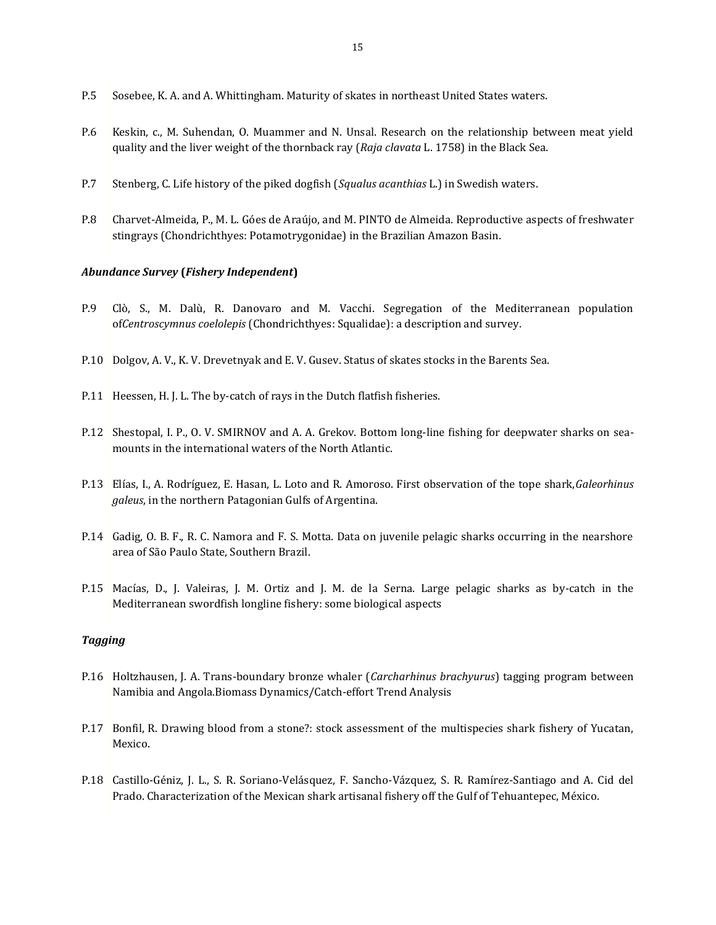- P.5 Sosebee, K. A. and A. Whittingham. Maturity of skates in northeast United States waters.
- P.6 Keskin, c., M. Suhendan, O. Muammer and N. Unsal. Research on the relationship between meat yield quality and the liver weight of the thornback ray (*Raja clavata* L. 1758) in the Black Sea.
- P.7 Stenberg, C. Life history of the piked dogfish (*Squalus acanthias* L.) in Swedish waters.
- P.8 Charvet-Almeida, P., M. L. Góes de Araújo, and M. PINTO de Almeida. Reproductive aspects of freshwater stingrays (Chondrichthyes: Potamotrygonidae) in the Brazilian Amazon Basin.

#### *Abundance Survey* **(***Fishery Independent***)**

- P.9 Clò, S., M. Dalù, R. Danovaro and M. Vacchi. Segregation of the Mediterranean population of*Centroscymnus coelolepis* (Chondrichthyes: Squalidae): a description and survey.
- P.10 Dolgov, A. V., K. V. Drevetnyak and E. V. Gusev. Status of skates stocks in the Barents Sea.
- P.11 Heessen, H. J. L. The by-catch of rays in the Dutch flatfish fisheries.
- P.12 Shestopal, I. P., O. V. SMIRNOV and A. A. Grekov. Bottom long-line fishing for deepwater sharks on seamounts in the international waters of the North Atlantic.
- P.13 Elías, I., A. Rodríguez, E. Hasan, L. Loto and R. Amoroso. First observation of the tope shark,*Galeorhinus galeus*, in the northern Patagonian Gulfs of Argentina.
- P.14 Gadig, O. B. F., R. C. Namora and F. S. Motta. Data on juvenile pelagic sharks occurring in the nearshore area of São Paulo State, Southern Brazil.
- P.15 Macías, D., J. Valeiras, J. M. Ortiz and J. M. de la Serna. Large pelagic sharks as by-catch in the Mediterranean swordfish longline fishery: some biological aspects

#### *Tagging*

- P.16 Holtzhausen, J. A. Trans-boundary bronze whaler (*Carcharhinus brachyurus*) tagging program between Namibia and Angola.Biomass Dynamics/Catch-effort Trend Analysis
- P.17 Bonfil, R. Drawing blood from a stone?: stock assessment of the multispecies shark fishery of Yucatan, Mexico.
- P.18 Castillo-Géniz, J. L., S. R. Soriano-Velásquez, F. Sancho-Vázquez, S. R. Ramírez-Santiago and A. Cid del Prado. Characterization of the Mexican shark artisanal fishery off the Gulf of Tehuantepec, México.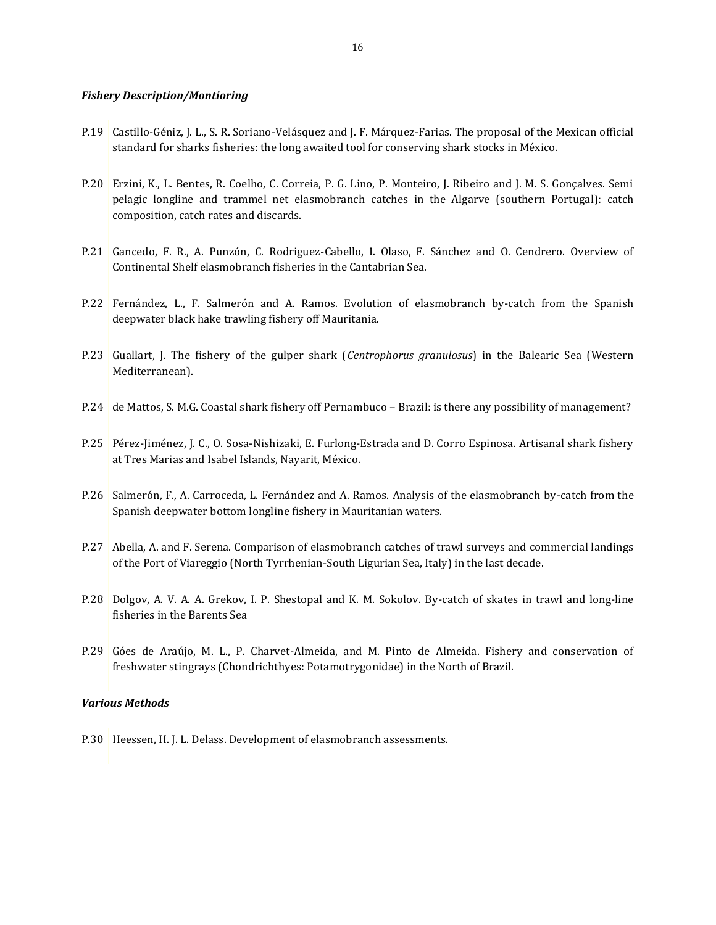#### *Fishery Description/Montioring*

- P.19 Castillo-Géniz, J. L., S. R. Soriano-Velásquez and J. F. Márquez-Farias. The proposal of the Mexican official standard for sharks fisheries: the long awaited tool for conserving shark stocks in México.
- P.20 Erzini, K., L. Bentes, R. Coelho, C. Correia, P. G. Lino, P. Monteiro, J. Ribeiro and J. M. S. Gonçalves. Semi pelagic longline and trammel net elasmobranch catches in the Algarve (southern Portugal): catch composition, catch rates and discards.
- P.21 Gancedo, F. R., A. Punzón, C. Rodriguez-Cabello, I. Olaso, F. Sánchez and O. Cendrero. Overview of Continental Shelf elasmobranch fisheries in the Cantabrian Sea.
- P.22 Fernández, L., F. Salmerón and A. Ramos. Evolution of elasmobranch by-catch from the Spanish deepwater black hake trawling fishery off Mauritania.
- P.23 Guallart, J. The fishery of the gulper shark (*Centrophorus granulosus*) in the Balearic Sea (Western Mediterranean).
- P.24 de Mattos, S. M.G. Coastal shark fishery off Pernambuco Brazil: is there any possibility of management?
- P.25 Pérez-Jiménez, J. C., O. Sosa-Nishizaki, E. Furlong-Estrada and D. Corro Espinosa. Artisanal shark fishery at Tres Marias and Isabel Islands, Nayarit, México.
- P.26 Salmerón, F., A. Carroceda, L. Fernández and A. Ramos. Analysis of the elasmobranch by-catch from the Spanish deepwater bottom longline fishery in Mauritanian waters.
- P.27 Abella, A. and F. Serena. Comparison of elasmobranch catches of trawl surveys and commercial landings of the Port of Viareggio (North Tyrrhenian-South Ligurian Sea, Italy) in the last decade.
- P.28 Dolgov, A. V. A. A. Grekov, I. P. Shestopal and K. M. Sokolov. By-catch of skates in trawl and long-line fisheries in the Barents Sea
- P.29 Góes de Araújo, M. L., P. Charvet-Almeida, and M. Pinto de Almeida. Fishery and conservation of freshwater stingrays (Chondrichthyes: Potamotrygonidae) in the North of Brazil.

#### *Various Methods*

P.30 Heessen, H. J. L. Delass. Development of elasmobranch assessments.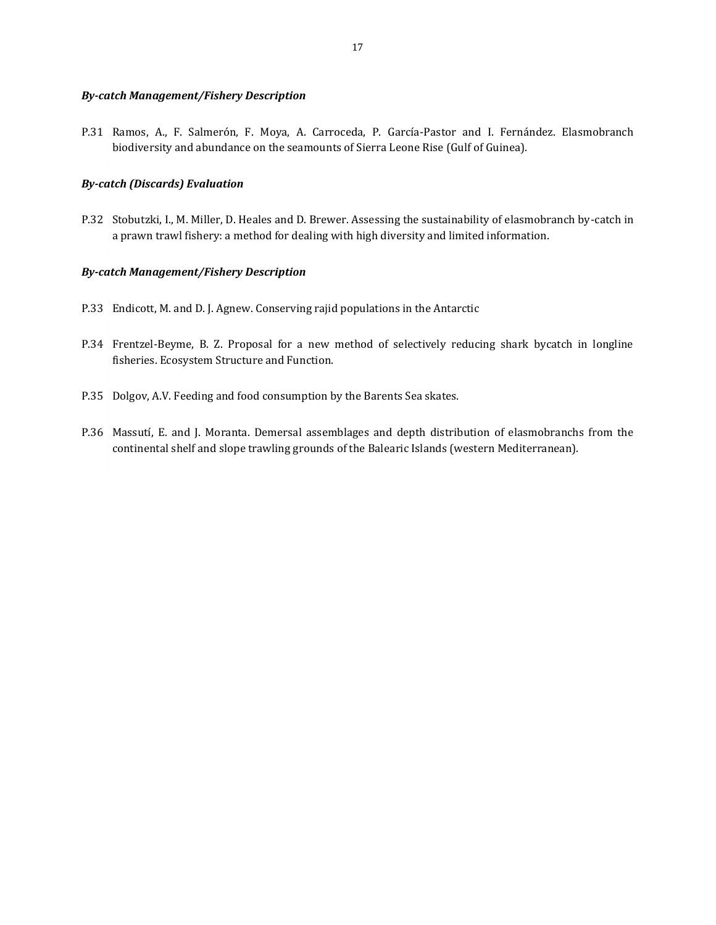#### *By-catch Management/Fishery Description*

P.31 Ramos, A., F. Salmerón, F. Moya, A. Carroceda, P. García-Pastor and I. Fernández. Elasmobranch biodiversity and abundance on the seamounts of Sierra Leone Rise (Gulf of Guinea).

#### *By-catch (Discards) Evaluation*

P.32 Stobutzki, I., M. Miller, D. Heales and D. Brewer. Assessing the sustainability of elasmobranch by-catch in a prawn trawl fishery: a method for dealing with high diversity and limited information.

#### *By-catch Management/Fishery Description*

- P.33 Endicott, M. and D. J. Agnew. Conserving rajid populations in the Antarctic
- P.34 Frentzel-Beyme, B. Z. Proposal for a new method of selectively reducing shark bycatch in longline fisheries. Ecosystem Structure and Function.
- P.35 Dolgov, A.V. Feeding and food consumption by the Barents Sea skates.
- P.36 Massutí, E. and J. Moranta. Demersal assemblages and depth distribution of elasmobranchs from the continental shelf and slope trawling grounds of the Balearic Islands (western Mediterranean).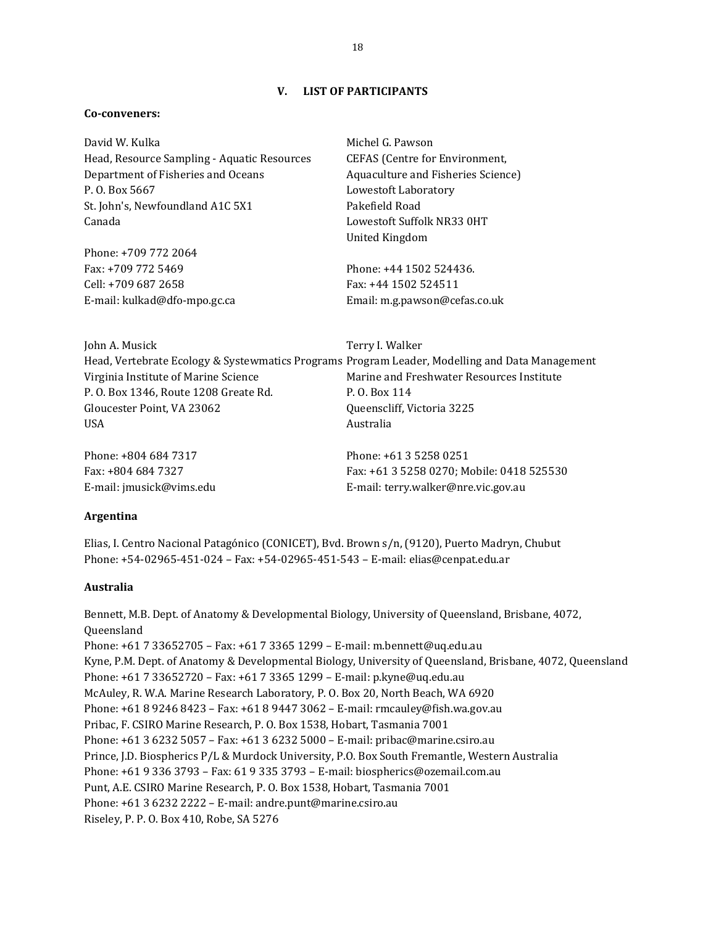### **V. LIST OF PARTICIPANTS**

#### <span id="page-17-0"></span>**Co-conveners:**

David W. Kulka Head, Resource Sampling - Aquatic Resources Department of Fisheries and Oceans P. O. Box 5667 St. John's, Newfoundland A1C 5X1 Canada

Phone: +709 772 2064 Fax: +709 772 5469 Cell: +709 687 2658 E-mail: kulkad@dfo-mpo.gc.ca Michel G. Pawson CEFAS (Centre for Environment, Aquaculture and Fisheries Science) Lowestoft Laboratory Pakefield Road Lowestoft Suffolk NR33 0HT United Kingdom

Phone: +44 1502 524436. Fax: +44 1502 524511 Email: m.g.pawson@cefas.co.uk

John A. Musick Head, Vertebrate Ecology & Systewmatics Programs Program Leader, Modelling and Data Management Virginia Institute of Marine Science P. O. Box 1346, Route 1208 Greate Rd. Gloucester Point, VA 23062 USA Terry I. Walker Marine and Freshwater Resources Institute P. O. Box 114 Queenscliff, Victoria 3225 Australia

Phone: +804 684 7317 Fax: +804 684 7327 E-mail: jmusick@vims.edu Phone: +61 3 5258 0251 Fax: +61 3 5258 0270; Mobile: 0418 525530 E-mail: terry.walker@nre.vic.gov.au

#### **Argentina**

Elias, I. Centro Nacional Patagónico (CONICET), Bvd. Brown s/n, (9120), Puerto Madryn, Chubut Phone: +54-02965-451-024 – Fax: +54-02965-451-543 – E-mail: elias@cenpat.edu.ar

#### **Australia**

Bennett, M.B. Dept. of Anatomy & Developmental Biology, University of Queensland, Brisbane, 4072, Queensland Phone: +61 7 33652705 – Fax: +61 7 3365 1299 – E-mail: m.bennett@uq.edu.au Kyne, P.M. Dept. of Anatomy & Developmental Biology, University of Queensland, Brisbane, 4072, Queensland Phone: +61 7 33652720 – Fax: +61 7 3365 1299 – E-mail: p.kyne@uq.edu.au McAuley, R. W.A. Marine Research Laboratory, P. O. Box 20, North Beach, WA 6920 Phone: +61 8 9246 8423 – Fax: +61 8 9447 3062 – E-mail: rmcauley@fish.wa.gov.au Pribac, F. CSIRO Marine Research, P. O. Box 1538, Hobart, Tasmania 7001 Phone: +61 3 6232 5057 – Fax: +61 3 6232 5000 – E-mail: pribac@marine.csiro.au Prince, J.D. Biospherics P/L & Murdock University, P.O. Box South Fremantle, Western Australia Phone: +61 9 336 3793 – Fax: 61 9 335 3793 – E-mail: biospherics@ozemail.com.au Punt, A.E. CSIRO Marine Research, P. O. Box 1538, Hobart, Tasmania 7001 Phone: +61 3 6232 2222 – E-mail: andre.punt@marine.csiro.au Riseley, P. P. O. Box 410, Robe, SA 5276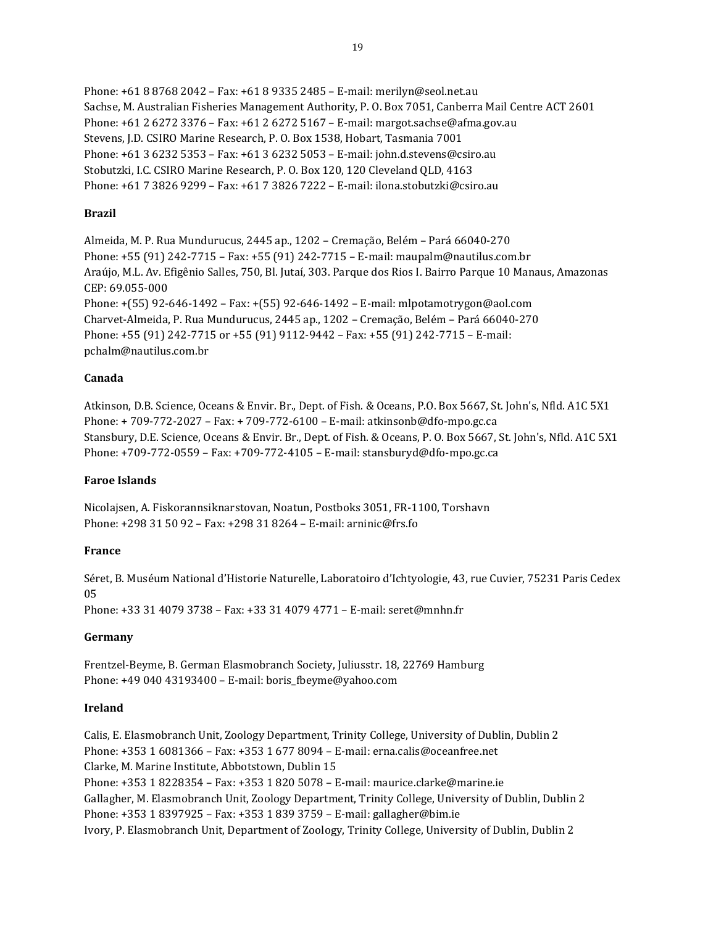Phone: +61 8 8768 2042 – Fax: +61 8 9335 2485 – E-mail: merilyn@seol.net.au Sachse, M. Australian Fisheries Management Authority, P. O. Box 7051, Canberra Mail Centre ACT 2601 Phone: +61 2 6272 3376 – Fax: +61 2 6272 5167 – E-mail: margot.sachse@afma.gov.au Stevens, J.D. CSIRO Marine Research, P. O. Box 1538, Hobart, Tasmania 7001 Phone: +61 3 6232 5353 – Fax: +61 3 6232 5053 – E-mail: john.d.stevens@csiro.au Stobutzki, I.C. CSIRO Marine Research, P. O. Box 120, 120 Cleveland QLD, 4163 Phone: +61 7 3826 9299 – Fax: +61 7 3826 7222 – E-mail: ilona.stobutzki@csiro.au

### **Brazil**

Almeida, M. P. Rua Mundurucus, 2445 ap., 1202 – Cremação, Belém – Pará 66040-270 Phone: +55 (91) 242-7715 – Fax: +55 (91) 242-7715 – E-mail: maupalm@nautilus.com.br Araújo, M.L. Av. Efigênio Salles, 750, Bl. Jutaí, 303. Parque dos Rios I. Bairro Parque 10 Manaus, Amazonas CEP: 69.055-000 Phone: +(55) 92-646-1492 – Fax: +(55) 92-646-1492 – E-mail: mlpotamotrygon@aol.com Charvet-Almeida, P. Rua Mundurucus, 2445 ap., 1202 – Cremação, Belém – Pará 66040-270 Phone: +55 (91) 242-7715 or +55 (91) 9112-9442 – Fax: +55 (91) 242-7715 – E-mail: pchalm@nautilus.com.br

### **Canada**

Atkinson, D.B. Science, Oceans & Envir. Br., Dept. of Fish. & Oceans, P.O. Box 5667, St. John's, Nfld. A1C 5X1 Phone: + 709-772-2027 – Fax: + 709-772-6100 – E-mail: atkinsonb@dfo-mpo.gc.ca Stansbury, D.E. Science, Oceans & Envir. Br., Dept. of Fish. & Oceans, P. O. Box 5667, St. John's, Nfld. A1C 5X1 Phone: +709-772-0559 – Fax: +709-772-4105 – E-mail: stansburyd@dfo-mpo.gc.ca

### **Faroe Islands**

Nicolajsen, A. Fiskorannsiknarstovan, Noatun, Postboks 3051, FR-1100, Torshavn Phone: +298 31 50 92 – Fax: +298 31 8264 – E-mail: arninic@frs.fo

### **France**

Séret, B. Muséum National d'Historie Naturelle, Laboratoiro d'Ichtyologie, 43, rue Cuvier, 75231 Paris Cedex 05

Phone: +33 31 4079 3738 – Fax: +33 31 4079 4771 – E-mail: seret@mnhn.fr

### **Germany**

Frentzel-Beyme, B. German Elasmobranch Society, Juliusstr. 18, 22769 Hamburg Phone: +49 040 43193400 – E-mail: boris\_fbeyme@yahoo.com

#### **Ireland**

Calis, E. Elasmobranch Unit, Zoology Department, Trinity College, University of Dublin, Dublin 2 Phone: +353 1 6081366 – Fax: +353 1 677 8094 – E-mail: erna.calis@oceanfree.net Clarke, M. Marine Institute, Abbotstown, Dublin 15 Phone: +353 1 8228354 – Fax: +353 1 820 5078 – E-mail: maurice.clarke@marine.ie Gallagher, M. Elasmobranch Unit, Zoology Department, Trinity College, University of Dublin, Dublin 2 Phone: +353 1 8397925 – Fax: +353 1 839 3759 – E-mail: gallagher@bim.ie Ivory, P. Elasmobranch Unit, Department of Zoology, Trinity College, University of Dublin, Dublin 2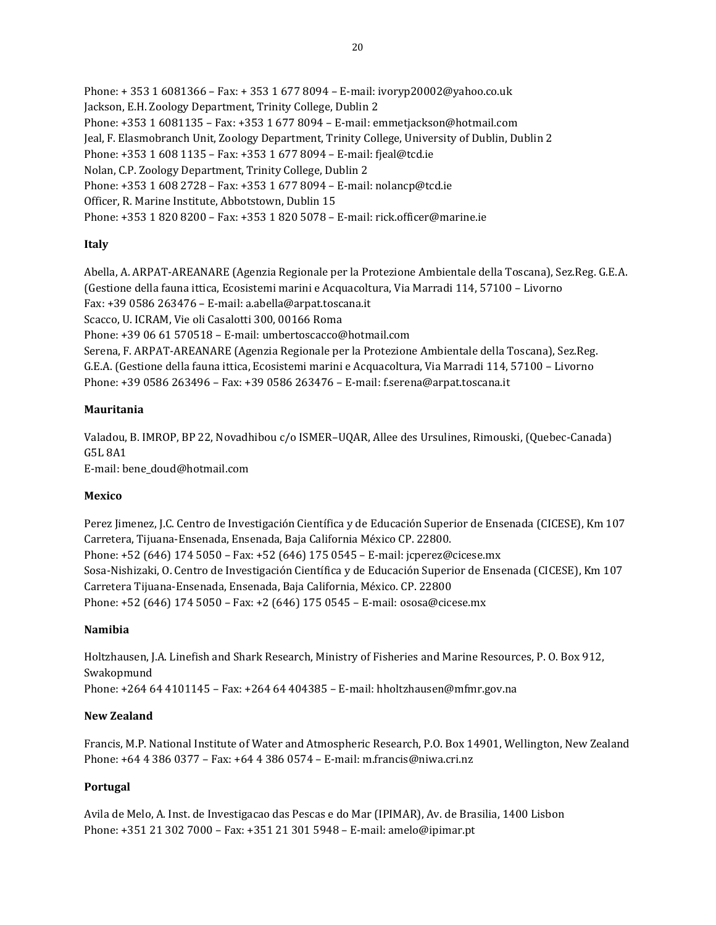Phone: + 353 1 6081366 – Fax: + 353 1 677 8094 – E-mail: ivoryp20002@yahoo.co.uk Jackson, E.H. Zoology Department, Trinity College, Dublin 2 Phone: +353 1 6081135 – Fax: +353 1 677 8094 – E-mail: emmetjackson@hotmail.com Jeal, F. Elasmobranch Unit, Zoology Department, Trinity College, University of Dublin, Dublin 2 Phone: +353 1 608 1135 – Fax: +353 1 677 8094 – E-mail: fjeal@tcd.ie Nolan, C.P. Zoology Department, Trinity College, Dublin 2 Phone: +353 1 608 2728 – Fax: +353 1 677 8094 – E-mail: nolancp@tcd.ie Officer, R. Marine Institute, Abbotstown, Dublin 15 Phone: +353 1 820 8200 – Fax: +353 1 820 5078 – E-mail: rick.officer@marine.ie

### **Italy**

Abella, A. ARPAT-AREANARE (Agenzia Regionale per la Protezione Ambientale della Toscana), Sez.Reg. G.E.A. (Gestione della fauna ittica, Ecosistemi marini e Acquacoltura, Via Marradi 114, 57100 – Livorno Fax: +39 0586 263476 – E-mail: a.abella@arpat.toscana.it Scacco, U. ICRAM, Vie oli Casalotti 300, 00166 Roma Phone: +39 06 61 570518 – E-mail: umbertoscacco@hotmail.com Serena, F. ARPAT-AREANARE (Agenzia Regionale per la Protezione Ambientale della Toscana), Sez.Reg. G.E.A. (Gestione della fauna ittica, Ecosistemi marini e Acquacoltura, Via Marradi 114, 57100 – Livorno Phone: +39 0586 263496 – Fax: +39 0586 263476 – E-mail: f.serena@arpat.toscana.it

### **Mauritania**

Valadou, B. IMROP, BP 22, Novadhibou c/o ISMER–UQAR, Allee des Ursulines, Rimouski, (Quebec-Canada) G5L 8A1 E-mail: bene\_doud@hotmail.com

### **Mexico**

Perez Jimenez, J.C. Centro de Investigación Científica y de Educación Superior de Ensenada (CICESE), Km 107 Carretera, Tijuana-Ensenada, Ensenada, Baja California México CP. 22800. Phone: +52 (646) 174 5050 – Fax: +52 (646) 175 0545 – E-mail: jcperez@cicese.mx Sosa-Nishizaki, O. Centro de Investigación Científica y de Educación Superior de Ensenada (CICESE), Km 107 Carretera Tijuana-Ensenada, Ensenada, Baja California, México. CP. 22800 Phone: +52 (646) 174 5050 – Fax: +2 (646) 175 0545 – E-mail: ososa@cicese.mx

### **Namibia**

Holtzhausen, J.A. Linefish and Shark Research, Ministry of Fisheries and Marine Resources, P. O. Box 912, Swakopmund Phone: +264 64 4101145 – Fax: +264 64 404385 – E-mail: hholtzhausen@mfmr.gov.na

### **New Zealand**

Francis, M.P. National Institute of Water and Atmospheric Research, P.O. Box 14901, Wellington, New Zealand Phone: +64 4 386 0377 – Fax: +64 4 386 0574 – E-mail: m.francis@niwa.cri.nz

## **Portugal**

Avila de Melo, A. Inst. de Investigacao das Pescas e do Mar (IPIMAR), Av. de Brasilia, 1400 Lisbon Phone: +351 21 302 7000 – Fax: +351 21 301 5948 – E-mail: amelo@ipimar.pt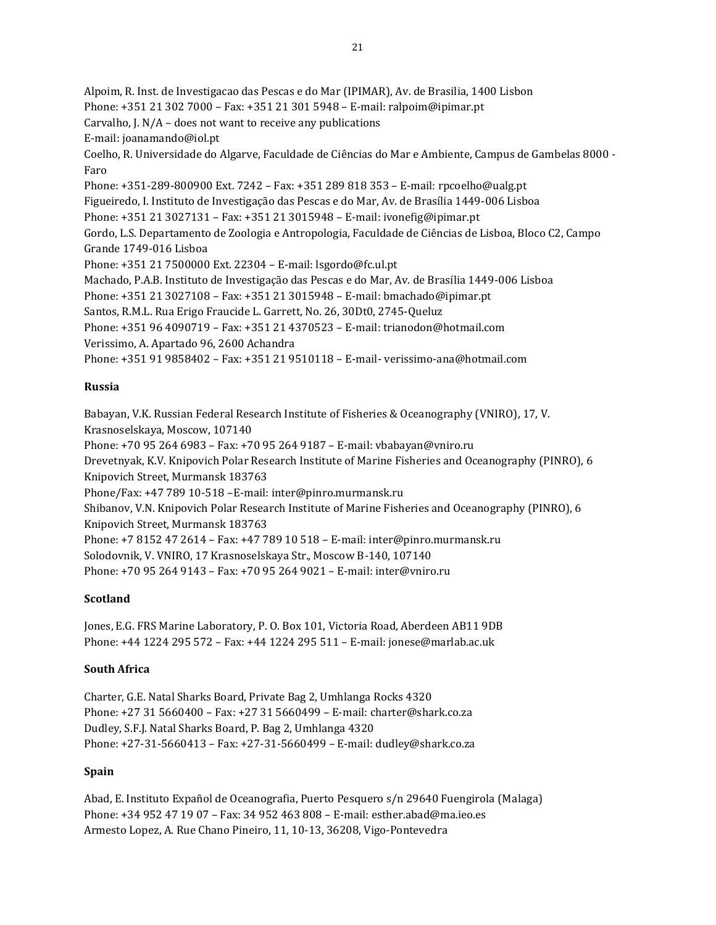Alpoim, R. Inst. de Investigacao das Pescas e do Mar (IPIMAR), Av. de Brasilia, 1400 Lisbon Phone: +351 21 302 7000 – Fax: +351 21 301 5948 – E-mail: ralpoim@ipimar.pt Carvalho, J.  $N/A$  – does not want to receive any publications E-mail: joanamando@iol.pt Coelho, R. Universidade do Algarve, Faculdade de Ciências do Mar e Ambiente, Campus de Gambelas 8000 - Faro Phone: +351-289-800900 Ext. 7242 – Fax: +351 289 818 353 – E-mail: rpcoelho@ualg.pt Figueiredo, I. Instituto de Investigação das Pescas e do Mar, Av. de Brasília 1449-006 Lisboa Phone: +351 21 3027131 – Fax: +351 21 3015948 – E-mail: ivonefig@ipimar.pt Gordo, L.S. Departamento de Zoologia e Antropologia, Faculdade de Ciências de Lisboa, Bloco C2, Campo Grande 1749-016 Lisboa Phone: +351 21 7500000 Ext. 22304 – E-mail: lsgordo@fc.ul.pt Machado, P.A.B. Instituto de Investigação das Pescas e do Mar, Av. de Brasília 1449-006 Lisboa Phone: +351 21 3027108 – Fax: +351 21 3015948 – E-mail: bmachado@ipimar.pt Santos, R.M.L. Rua Erigo Fraucide L. Garrett, No. 26, 30Dt0, 2745-Queluz Phone: +351 96 4090719 – Fax: +351 21 4370523 – E-mail: trianodon@hotmail.com Verissimo, A. Apartado 96, 2600 Achandra Phone: +351 91 9858402 – Fax: +351 21 9510118 – E-mail- verissimo-ana@hotmail.com

### **Russia**

Babayan, V.K. Russian Federal Research Institute of Fisheries & Oceanography (VNIRO), 17, V. Krasnoselskaya, Moscow, 107140 Phone: +70 95 264 6983 – Fax: +70 95 264 9187 – E-mail: vbabayan@vniro.ru Drevetnyak, K.V. Knipovich Polar Research Institute of Marine Fisheries and Oceanography (PINRO), 6 Knipovich Street, Murmansk 183763 Phone/Fax: +47 789 10-518 –E-mail: inter@pinro.murmansk.ru Shibanov, V.N. Knipovich Polar Research Institute of Marine Fisheries and Oceanography (PINRO), 6 Knipovich Street, Murmansk 183763 Phone: +7 8152 47 2614 – Fax: +47 789 10 518 – E-mail: inter@pinro.murmansk.ru Solodovnik, V. VNIRO, 17 Krasnoselskaya Str., Moscow B-140, 107140 Phone: +70 95 264 9143 – Fax: +70 95 264 9021 – E-mail: inter@vniro.ru

#### **Scotland**

Jones, E.G. FRS Marine Laboratory, P. O. Box 101, Victoria Road, Aberdeen AB11 9DB Phone: +44 1224 295 572 – Fax: +44 1224 295 511 – E-mail: jonese@marlab.ac.uk

#### **South Africa**

Charter, G.E. Natal Sharks Board, Private Bag 2, Umhlanga Rocks 4320 Phone: +27 31 5660400 – Fax: +27 31 5660499 – E-mail: charter@shark.co.za Dudley, S.F.J. Natal Sharks Board, P. Bag 2, Umhlanga 4320 Phone: +27-31-5660413 – Fax: +27-31-5660499 – E-mail: dudley@shark.co.za

#### **Spain**

Abad, E. Instituto Expañol de Oceanografia, Puerto Pesquero s/n 29640 Fuengirola (Malaga) Phone: +34 952 47 19 07 – Fax: 34 952 463 808 – E-mail: esther.abad@ma.ieo.es Armesto Lopez, A. Rue Chano Pineiro, 11, 10-13, 36208, Vigo-Pontevedra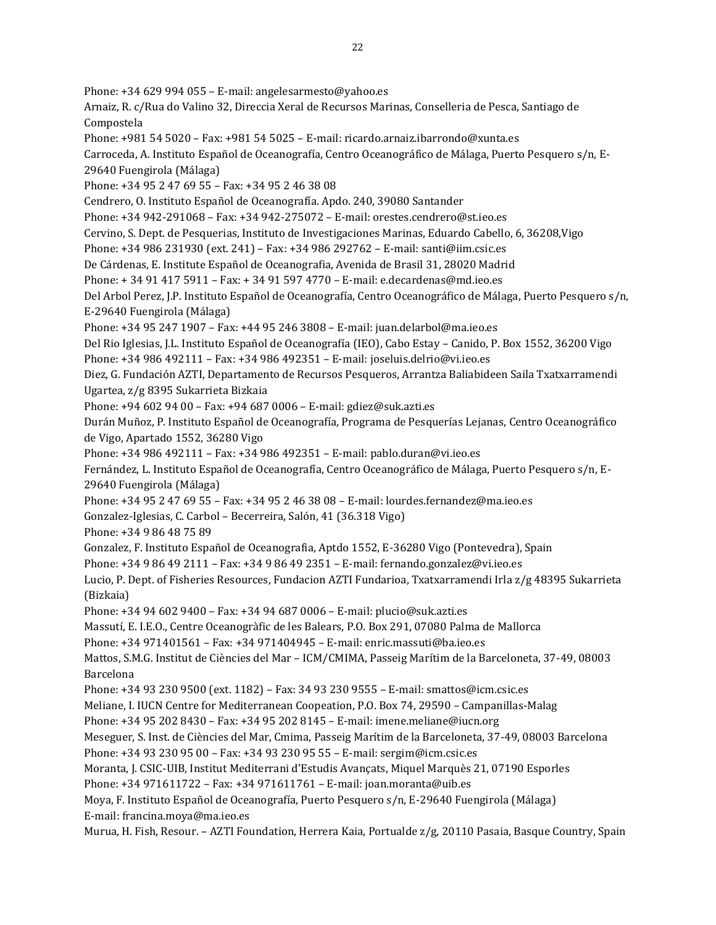Phone: +34 629 994 055 – E-mail: angelesarmesto@yahoo.es Arnaiz, R. c/Rua do Valino 32, Direccia Xeral de Recursos Marinas, Conselleria de Pesca, Santiago de Compostela Phone: +981 54 5020 – Fax: +981 54 5025 – E-mail: ricardo.arnaiz.ibarrondo@xunta.es Carroceda, A. Instituto Español de Oceanografía, Centro Oceanográfico de Málaga, Puerto Pesquero s/n, E-29640 Fuengirola (Málaga) Phone: +34 95 2 47 69 55 – Fax: +34 95 2 46 38 08 Cendrero, O. Instituto Español de Oceanografía. Apdo. 240, 39080 Santander Phone: +34 942-291068 – Fax: +34 942-275072 – E-mail: orestes.cendrero@st.ieo.es Cervino, S. Dept. de Pesquerias, Instituto de Investigaciones Marinas, Eduardo Cabello, 6, 36208,Vigo Phone: +34 986 231930 (ext. 241) – Fax: +34 986 292762 – E-mail: santi@iim.csic.es De Cárdenas, E. Institute Español de Oceanografia, Avenida de Brasil 31, 28020 Madrid Phone: + 34 91 417 5911 – Fax: + 34 91 597 4770 – E-mail: e.decardenas@md.ieo.es Del Arbol Perez, J.P. Instituto Español de Oceanografía, Centro Oceanográfico de Málaga, Puerto Pesquero s/n, E-29640 Fuengirola (Málaga) Phone: +34 95 247 1907 – Fax: +44 95 246 3808 – E-mail: juan.delarbol@ma.ieo.es Del Rio Iglesias, J.L. Instituto Español de Oceanografía (IEO), Cabo Estay – Canido, P. Box 1552, 36200 Vigo Phone: +34 986 492111 – Fax: +34 986 492351 – E-mail: joseluis.delrio@vi.ieo.es Diez, G. Fundación AZTI, Departamento de Recursos Pesqueros, Arrantza Baliabideen Saila Txatxarramendi Ugartea, z/g 8395 Sukarrieta Bizkaia Phone: +94 602 94 00 – Fax: +94 687 0006 – E-mail: gdiez@suk.azti.es Durán Muñoz, P. Instituto Español de Oceanografía, Programa de Pesquerías Lejanas, Centro Oceanográfico de Vigo, Apartado 1552, 36280 Vigo Phone: +34 986 492111 – Fax: +34 986 492351 – E-mail: pablo.duran@vi.ieo.es Fernández, L. Instituto Español de Oceanografía, Centro Oceanográfico de Málaga, Puerto Pesquero s/n, E-29640 Fuengirola (Málaga) Phone: +34 95 2 47 69 55 – Fax: +34 95 2 46 38 08 – E-mail: lourdes.fernandez@ma.ieo.es Gonzalez-Iglesias, C. Carbol – Becerreira, Salón, 41 (36.318 Vigo) Phone: +34 9 86 48 75 89 Gonzalez, F. Instituto Español de Oceanografia, Aptdo 1552, E-36280 Vigo (Pontevedra), Spain Phone: +34 9 86 49 2111 – Fax: +34 9 86 49 2351 – E-mail: fernando.gonzalez@vi.ieo.es Lucio, P. Dept. of Fisheries Resources, Fundacion AZTI Fundarioa, Txatxarramendi Irla z/g 48395 Sukarrieta (Bizkaia) Phone: +34 94 602 9400 – Fax: +34 94 687 0006 – E-mail: plucio@suk.azti.es Massutí, E. I.E.O., Centre Oceanogràfic de les Balears, P.O. Box 291, 07080 Palma de Mallorca Phone: +34 971401561 – Fax: +34 971404945 – E-mail: enric.massuti@ba.ieo.es Mattos, S.M.G. Institut de Ciències del Mar – ICM/CMIMA, Passeig Marítim de la Barceloneta, 37-49, 08003 Barcelona Phone: +34 93 230 9500 (ext. 1182) – Fax: 34 93 230 9555 – E-mail: smattos@icm.csic.es Meliane, I. IUCN Centre for Mediterranean Coopeation, P.O. Box 74, 29590 – Campanillas-Malag Phone: +34 95 202 8430 – Fax: +34 95 202 8145 – E-mail: imene.meliane@iucn.org Meseguer, S. Inst. de Ciències del Mar, Cmima, Passeig Marítim de la Barceloneta, 37-49, 08003 Barcelona Phone: +34 93 230 95 00 – Fax: +34 93 230 95 55 – E-mail: sergim@icm.csic.es Moranta, J. CSIC-UIB, Institut Mediterrani d'Estudis Avançats, Miquel Marquès 21, 07190 Esporles Phone: +34 971611722 – Fax: +34 971611761 – E-mail: joan.moranta@uib.es Moya, F. Instituto Español de Oceanografía, Puerto Pesquero s/n, E-29640 Fuengirola (Málaga) E-mail: francina.moya@ma.ieo.es Murua, H. Fish, Resour. – AZTI Foundation, Herrera Kaia, Portualde z/g, 20110 Pasaia, Basque Country, Spain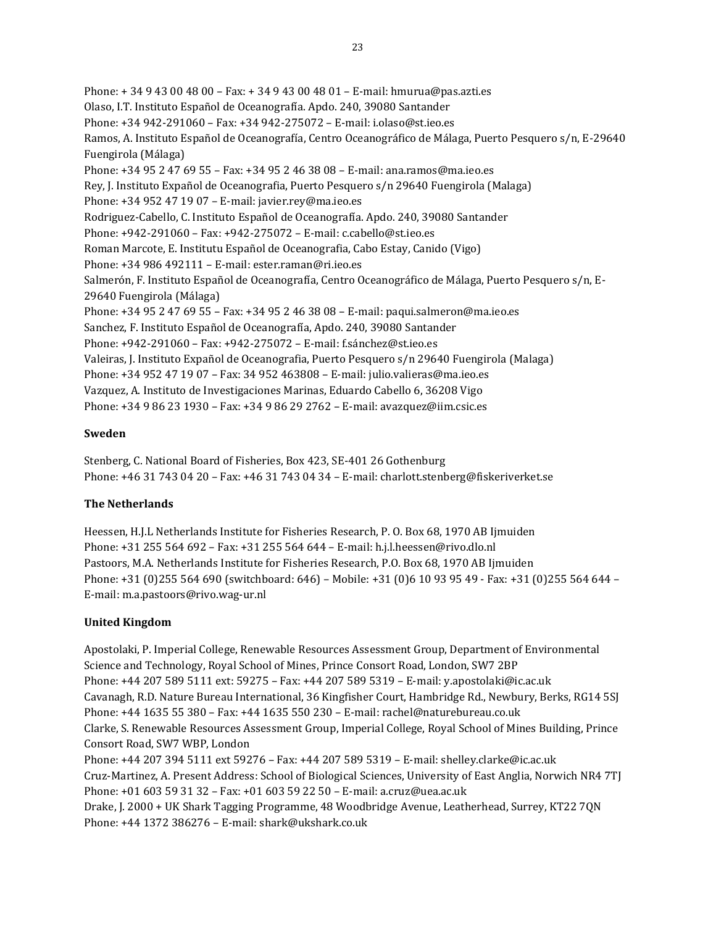Phone: + 34 9 43 00 48 00 – Fax: + 34 9 43 00 48 01 – E-mail: hmurua@pas.azti.es Olaso, I.T. Instituto Español de Oceanografía. Apdo. 240, 39080 Santander Phone: +34 942-291060 – Fax: +34 942-275072 – E-mail: i.olaso@st.ieo.es Ramos, A. Instituto Español de Oceanografía, Centro Oceanográfico de Málaga, Puerto Pesquero s/n, E-29640 Fuengirola (Málaga) Phone: +34 95 2 47 69 55 – Fax: +34 95 2 46 38 08 – E-mail: ana.ramos@ma.ieo.es Rey, J. Instituto Expañol de Oceanografia, Puerto Pesquero s/n 29640 Fuengirola (Malaga) Phone: +34 952 47 19 07 – E-mail: javier.rey@ma.ieo.es Rodriguez-Cabello, C. Instituto Español de Oceanografía. Apdo. 240, 39080 Santander Phone: +942-291060 – Fax: +942-275072 – E-mail: c.cabello@st.ieo.es Roman Marcote, E. Institutu Español de Oceanografia, Cabo Estay, Canido (Vigo) Phone: +34 986 492111 – E-mail: ester.raman@ri.ieo.es Salmerón, F. Instituto Español de Oceanografía, Centro Oceanográfico de Málaga, Puerto Pesquero s/n, E-29640 Fuengirola (Málaga) Phone: +34 95 2 47 69 55 – Fax: +34 95 2 46 38 08 – E-mail: paqui.salmeron@ma.ieo.es Sanchez, F. Instituto Español de Oceanografía, Apdo. 240, 39080 Santander Phone: +942-291060 – Fax: +942-275072 – E-mail: f.sánchez@st.ieo.es Valeiras, J. Instituto Expañol de Oceanografia, Puerto Pesquero s/n 29640 Fuengirola (Malaga) Phone: +34 952 47 19 07 – Fax: 34 952 463808 – E-mail: julio.valieras@ma.ieo.es Vazquez, A. Instituto de Investigaciones Marinas, Eduardo Cabello 6, 36208 Vigo Phone: +34 9 86 23 1930 – Fax: +34 9 86 29 2762 – E-mail: avazquez@iim.csic.es

### **Sweden**

Stenberg, C. National Board of Fisheries, Box 423, SE-401 26 Gothenburg Phone: +46 31 743 04 20 – Fax: +46 31 743 04 34 – E-mail: charlott.stenberg@fiskeriverket.se

## **The Netherlands**

Heessen, H.J.L Netherlands Institute for Fisheries Research, P. O. Box 68, 1970 AB Ijmuiden Phone: +31 255 564 692 – Fax: +31 255 564 644 – E-mail: h.j.l.heessen@rivo.dlo.nl Pastoors, M.A. Netherlands Institute for Fisheries Research, P.O. Box 68, 1970 AB Ijmuiden Phone: +31 (0)255 564 690 (switchboard: 646) – Mobile: +31 (0)6 10 93 95 49 - Fax: +31 (0)255 564 644 – E-mail: m.a.pastoors@rivo.wag-ur.nl

### **United Kingdom**

Apostolaki, P. Imperial College, Renewable Resources Assessment Group, Department of Environmental Science and Technology, Royal School of Mines, Prince Consort Road, London, SW7 2BP Phone: +44 207 589 5111 ext: 59275 – Fax: +44 207 589 5319 – E-mail: y.apostolaki@ic.ac.uk Cavanagh, R.D. Nature Bureau International, 36 Kingfisher Court, Hambridge Rd., Newbury, Berks, RG14 5SJ Phone: +44 1635 55 380 – Fax: +44 1635 550 230 – E-mail: rachel@naturebureau.co.uk Clarke, S. Renewable Resources Assessment Group, Imperial College, Royal School of Mines Building, Prince Consort Road, SW7 WBP, London Phone: +44 207 394 5111 ext 59276 – Fax: +44 207 589 5319 – E-mail: shelley.clarke@ic.ac.uk Cruz-Martinez, A. Present Address: School of Biological Sciences, University of East Anglia, Norwich NR4 7TJ Phone: +01 603 59 31 32 – Fax: +01 603 59 22 50 – E-mail: a.cruz@uea.ac.uk Drake, J. 2000 + UK Shark Tagging Programme, 48 Woodbridge Avenue, Leatherhead, Surrey, KT22 7QN Phone: +44 1372 386276 – E-mail: shark@ukshark.co.uk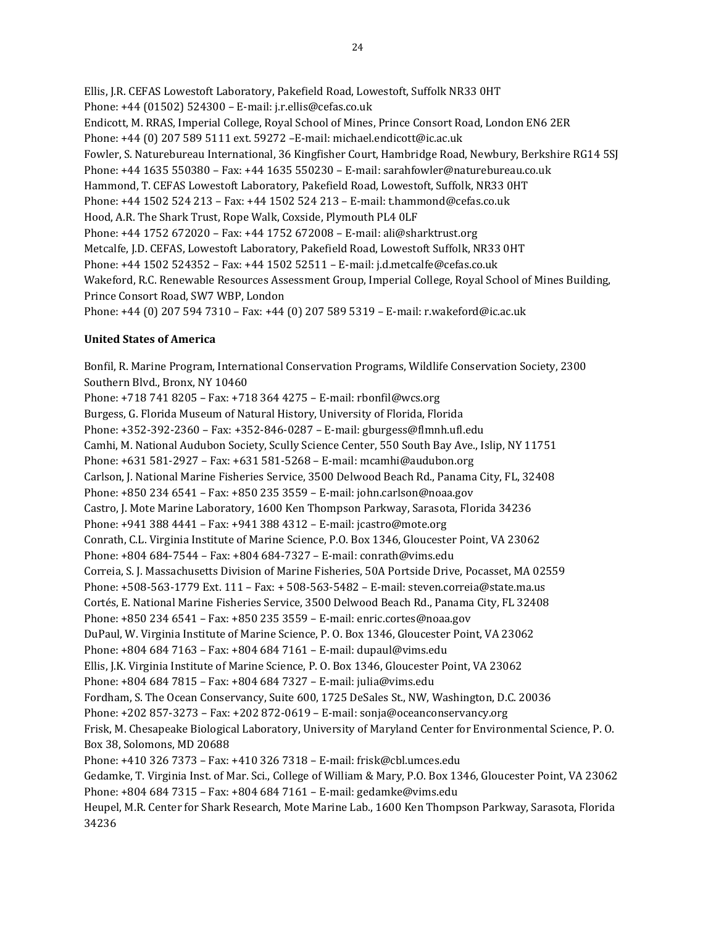Ellis, J.R. CEFAS Lowestoft Laboratory, Pakefield Road, Lowestoft, Suffolk NR33 0HT Phone: +44 (01502) 524300 – E-mail: j.r.ellis@cefas.co.uk Endicott, M. RRAS, Imperial College, Royal School of Mines, Prince Consort Road, London EN6 2ER Phone: +44 (0) 207 589 5111 ext. 59272 –E-mail: michael.endicott@ic.ac.uk Fowler, S. Naturebureau International, 36 Kingfisher Court, Hambridge Road, Newbury, Berkshire RG14 5SJ Phone: +44 1635 550380 – Fax: +44 1635 550230 – E-mail: sarahfowler@naturebureau.co.uk Hammond, T. CEFAS Lowestoft Laboratory, Pakefield Road, Lowestoft, Suffolk, NR33 0HT Phone: +44 1502 524 213 – Fax: +44 1502 524 213 – E-mail: t.hammond@cefas.co.uk Hood, A.R. The Shark Trust, Rope Walk, Coxside, Plymouth PL4 0LF Phone: +44 1752 672020 – Fax: +44 1752 672008 – E-mail: ali@sharktrust.org Metcalfe, J.D. CEFAS, Lowestoft Laboratory, Pakefield Road, Lowestoft Suffolk, NR33 0HT Phone: +44 1502 524352 – Fax: +44 1502 52511 – E-mail: j.d.metcalfe@cefas.co.uk Wakeford, R.C. Renewable Resources Assessment Group, Imperial College, Royal School of Mines Building, Prince Consort Road, SW7 WBP, London Phone: +44 (0) 207 594 7310 – Fax: +44 (0) 207 589 5319 – E-mail: r.wakeford@ic.ac.uk

### **United States of America**

Bonfil, R. Marine Program, International Conservation Programs, Wildlife Conservation Society, 2300 Southern Blvd., Bronx, NY 10460 Phone: +718 741 8205 – Fax: +718 364 4275 – E-mail: rbonfil@wcs.org Burgess, G. Florida Museum of Natural History, University of Florida, Florida Phone: +352-392-2360 – Fax: +352-846-0287 – E-mail: gburgess@flmnh.ufl.edu Camhi, M. National Audubon Society, Scully Science Center, 550 South Bay Ave., Islip, NY 11751 Phone: +631 581-2927 – Fax: +631 581-5268 – E-mail: mcamhi@audubon.org Carlson, J. National Marine Fisheries Service, 3500 Delwood Beach Rd., Panama City, FL, 32408 Phone: +850 234 6541 – Fax: +850 235 3559 – E-mail: john.carlson@noaa.gov Castro, J. Mote Marine Laboratory, 1600 Ken Thompson Parkway, Sarasota, Florida 34236 Phone: +941 388 4441 – Fax: +941 388 4312 – E-mail: jcastro@mote.org Conrath, C.L. Virginia Institute of Marine Science, P.O. Box 1346, Gloucester Point, VA 23062 Phone: +804 684-7544 – Fax: +804 684-7327 – E-mail: conrath@vims.edu Correia, S. J. Massachusetts Division of Marine Fisheries, 50A Portside Drive, Pocasset, MA 02559 Phone: +508-563-1779 Ext. 111 – Fax: + 508-563-5482 – E-mail: steven.correia@state.ma.us Cortés, E. National Marine Fisheries Service, 3500 Delwood Beach Rd., Panama City, FL 32408 Phone: +850 234 6541 – Fax: +850 235 3559 – E-mail: enric.cortes@noaa.gov DuPaul, W. Virginia Institute of Marine Science, P. O. Box 1346, Gloucester Point, VA 23062 Phone: +804 684 7163 – Fax: +804 684 7161 – E-mail: dupaul@vims.edu Ellis, J.K. Virginia Institute of Marine Science, P. O. Box 1346, Gloucester Point, VA 23062 Phone: +804 684 7815 – Fax: +804 684 7327 – E-mail: julia@vims.edu Fordham, S. The Ocean Conservancy, Suite 600, 1725 DeSales St., NW, Washington, D.C. 20036 Phone: +202 857-3273 – Fax: +202 872-0619 – E-mail: sonja@oceanconservancy.org Frisk, M. Chesapeake Biological Laboratory, University of Maryland Center for Environmental Science, P. O. Box 38, Solomons, MD 20688 Phone: +410 326 7373 – Fax: +410 326 7318 – E-mail: frisk@cbl.umces.edu Gedamke, T. Virginia Inst. of Mar. Sci., College of William & Mary, P.O. Box 1346, Gloucester Point, VA 23062 Phone: +804 684 7315 – Fax: +804 684 7161 – E-mail: gedamke@vims.edu Heupel, M.R. Center for Shark Research, Mote Marine Lab., 1600 Ken Thompson Parkway, Sarasota, Florida 34236